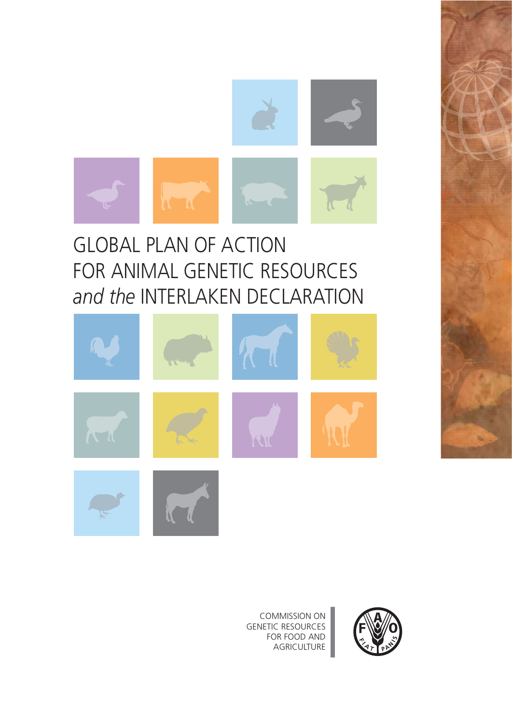

# GLOBAL PLAN OF ACTION FOR ANIMAL GENETIC RESOURCES *and the* INTERLAKEN DECLARATION





COMMISSION ON GENETIC RESOURCES FOR FOOD AND **AGRICULTURE**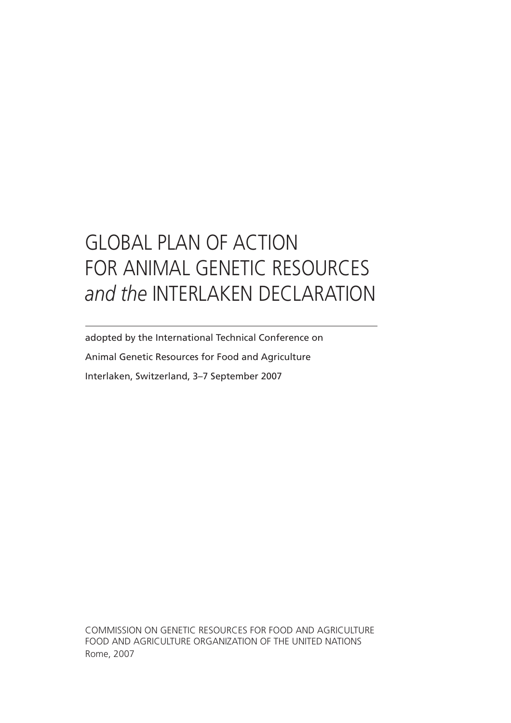# GLOBAL PLAN OF ACTION FOR ANIMAL GENETIC RESOURCES *and the* INTERLAKEN DECLARATION

adopted by the International Technical Conference on Animal Genetic Resources for Food and Agriculture Interlaken, Switzerland, 3–7 September 2007

COMMISSION ON GENETIC RESOURCES FOR FOOD AND AGRICULTURE FOOD AND AGRICULTURE ORGANIZATION OF THE UNITED NATIONS Rome, 2007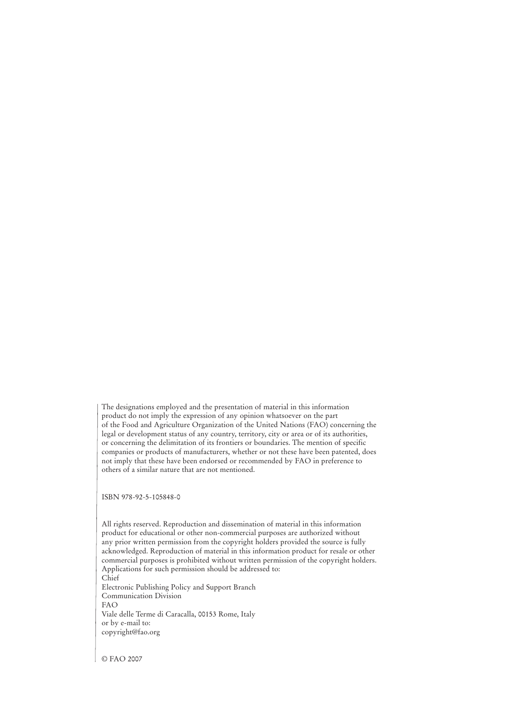The designations employed and the presentation of material in this information product do not imply the expression of any opinion whatsoever on the part of the Food and Agriculture Organization of the United Nations (FAO) concerning the legal or development status of any country, territory, city or area or of its authorities, or concerning the delimitation of its frontiers or boundaries. The mention of specific companies or products of manufacturers, whether or not these have been patented, does not imply that these have been endorsed or recommended by FAO in preference to others of a similar nature that are not mentioned.

ISBN 978-92-5-105848-0

All rights reserved. Reproduction and dissemination of material in this information product for educational or other non-commercial purposes are authorized without any prior written permission from the copyright holders provided the source is fully acknowledged. Reproduction of material in this information product for resale or other commercial purposes is prohibited without written permission of the copyright holders. Applications for such permission should be addressed to: Chief

Electronic Publishing Policy and Support Branch Communication Division FAO Viale delle Terme di Caracalla, 00153 Rome, Italy or by e-mail to: copyright@fao.org

© FAO 2007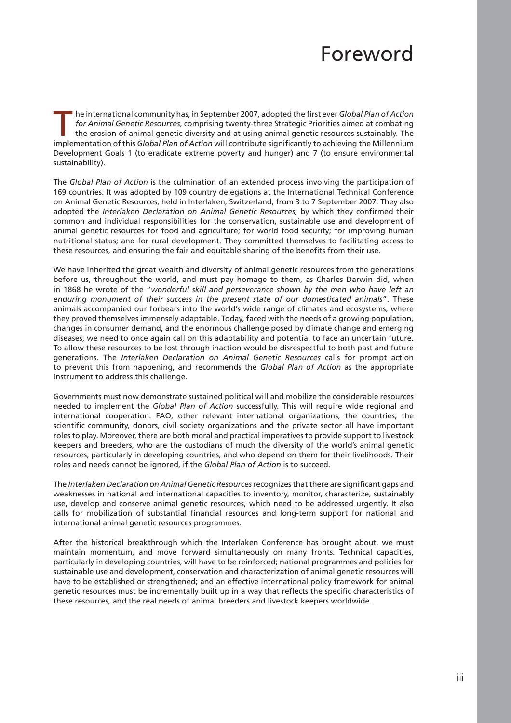# Foreword

The international community has, in September 2007, adopted the first ever *Global Plan of Action*<br>
for *Animal Genetic Resources*, comprising twenty-three Strategic Priorities aimed at combating<br>
the erosion of animal gen *for Animal Genetic Resources*, comprising twenty-three Strategic Priorities aimed at combating implementation of this *Global Plan of Action* will contribute significantly to achieving the Millennium Development Goals 1 (to eradicate extreme poverty and hunger) and 7 (to ensure environmental sustainability).

The *Global Plan of Action* is the culmination of an extended process involving the participation of 169 countries. It was adopted by 109 country delegations at the International Technical Conference on Animal Genetic Resources, held in Interlaken, Switzerland, from 3 to 7 September 2007. They also adopted the *Interlaken Declaration on Animal Genetic Resources,* by which they confirmed their common and individual responsibilities for the conservation, sustainable use and development of animal genetic resources for food and agriculture; for world food security; for improving human nutritional status; and for rural development. They committed themselves to facilitating access to these resources, and ensuring the fair and equitable sharing of the benefits from their use.

We have inherited the great wealth and diversity of animal genetic resources from the generations before us, throughout the world, and must pay homage to them, as Charles Darwin did, when in 1868 he wrote of the "*wonderful skill and perseverance shown by the men who have left an enduring monument of their success in the present state of our domesticated animals*". These animals accompanied our forbears into the world's wide range of climates and ecosystems, where they proved themselves immensely adaptable. Today, faced with the needs of a growing population, changes in consumer demand, and the enormous challenge posed by climate change and emerging diseases, we need to once again call on this adaptability and potential to face an uncertain future. To allow these resources to be lost through inaction would be disrespectful to both past and future generations. The *Interlaken Declaration on Animal Genetic Resources* calls for prompt action to prevent this from happening, and recommends the *Global Plan of Action* as the appropriate instrument to address this challenge.

Governments must now demonstrate sustained political will and mobilize the considerable resources needed to implement the *Global Plan of Action* successfully. This will require wide regional and international cooperation. FAO, other relevant international organizations, the countries, the scientific community, donors, civil society organizations and the private sector all have important roles to play. Moreover, there are both moral and practical imperatives to provide support to livestock keepers and breeders, who are the custodians of much the diversity of the world's animal genetic resources, particularly in developing countries, and who depend on them for their livelihoods. Their roles and needs cannot be ignored, if the *Global Plan of Action* is to succeed.

The *Interlaken Declaration on Animal Genetic Resources* recognizes that there are significant gaps and weaknesses in national and international capacities to inventory, monitor, characterize, sustainably use, develop and conserve animal genetic resources, which need to be addressed urgently. It also calls for mobilization of substantial financial resources and long-term support for national and international animal genetic resources programmes.

After the historical breakthrough which the Interlaken Conference has brought about, we must maintain momentum, and move forward simultaneously on many fronts. Technical capacities, particularly in developing countries, will have to be reinforced; national programmes and policies for sustainable use and development, conservation and characterization of animal genetic resources will have to be established or strengthened; and an effective international policy framework for animal genetic resources must be incrementally built up in a way that reflects the specific characteristics of these resources, and the real needs of animal breeders and livestock keepers worldwide.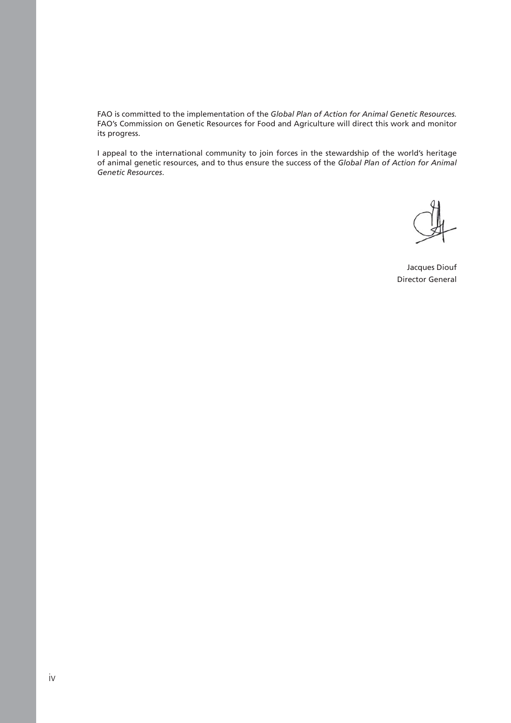FAO is committed to the implementation of the *Global Plan of Action for Animal Genetic Resources.*  FAO's Commission on Genetic Resources for Food and Agriculture will direct this work and monitor its progress.

I appeal to the international community to join forces in the stewardship of the world's heritage of animal genetic resources, and to thus ensure the success of the *Global Plan of Action for Animal Genetic Resources*.

Jacques Diouf Director General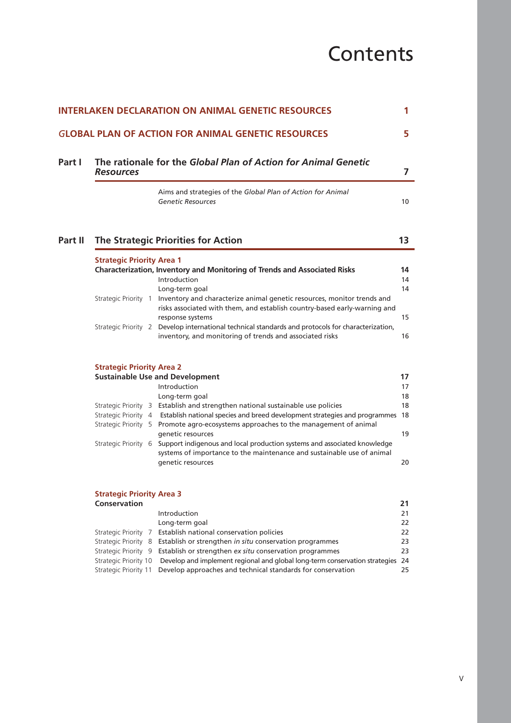# **Contents**

| <b>Resources</b>                                        | The rationale for the Global Plan of Action for Animal Genetic                                                                                                                            |
|---------------------------------------------------------|-------------------------------------------------------------------------------------------------------------------------------------------------------------------------------------------|
|                                                         | Aims and strategies of the Global Plan of Action for Animal<br><b>Genetic Resources</b>                                                                                                   |
|                                                         | <b>The Strategic Priorities for Action</b>                                                                                                                                                |
| <b>Strategic Priority Area 1</b>                        | Characterization, Inventory and Monitoring of Trends and Associated Risks                                                                                                                 |
|                                                         | Introduction                                                                                                                                                                              |
| Strategic Priority 1                                    | Long-term goal<br>Inventory and characterize animal genetic resources, monitor trends and<br>risks associated with them, and establish country-based early-warning and                    |
|                                                         | response systems<br>Strategic Priority 2 Develop international technical standards and protocols for characterization,<br>inventory, and monitoring of trends and associated risks        |
| <b>Strategic Priority Area 2</b>                        |                                                                                                                                                                                           |
|                                                         | <b>Sustainable Use and Development</b>                                                                                                                                                    |
|                                                         | Introduction                                                                                                                                                                              |
|                                                         | Long-term goal<br>Strategic Priority 3 Establish and strengthen national sustainable use policies                                                                                         |
|                                                         | Strategic Priority 4 Establish national species and breed development strategies and programmes 18<br>Strategic Priority 5 Promote agro-ecosystems approaches to the management of animal |
| Strategic Priority 6                                    | genetic resources<br>Support indigenous and local production systems and associated knowledge                                                                                             |
|                                                         | systems of importance to the maintenance and sustainable use of animal<br>genetic resources                                                                                               |
| <b>Strategic Priority Area 3</b><br><b>Conservation</b> |                                                                                                                                                                                           |
|                                                         | Introduction                                                                                                                                                                              |
|                                                         | Long-term goal                                                                                                                                                                            |
| Strategic Priority 7                                    | Establish national conservation policies                                                                                                                                                  |
| Strategic Priority 8                                    | Establish or strengthen in situ conservation programmes                                                                                                                                   |
| Strategic Priority 9                                    | Establish or strengthen ex situ conservation programmes                                                                                                                                   |
| Strategic Priority 10                                   | Develop and implement regional and global long-term conservation strategies 24                                                                                                            |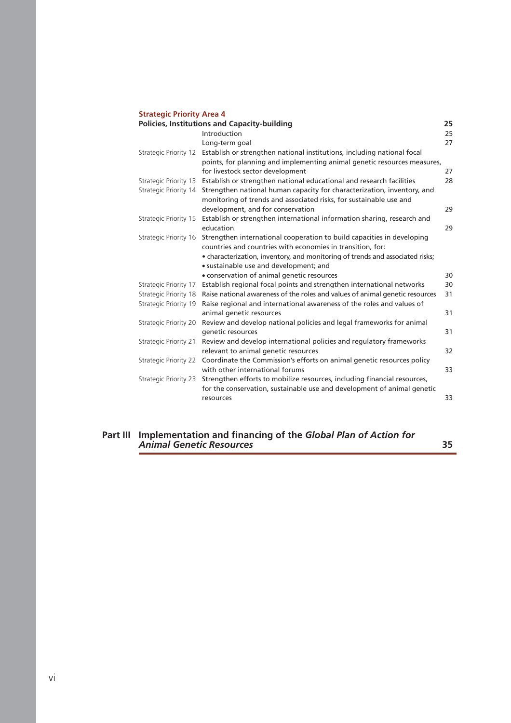## **Strategic Priority Area 4**

| <b>Policies, Institutions and Capacity-building</b><br>25 |                       |                                                                               |    |  |  |  |
|-----------------------------------------------------------|-----------------------|-------------------------------------------------------------------------------|----|--|--|--|
|                                                           |                       | Introduction                                                                  | 25 |  |  |  |
|                                                           |                       | Long-term goal                                                                | 27 |  |  |  |
|                                                           | Strategic Priority 12 | Establish or strengthen national institutions, including national focal       |    |  |  |  |
|                                                           |                       | points, for planning and implementing animal genetic resources measures,      |    |  |  |  |
|                                                           |                       | for livestock sector development                                              | 27 |  |  |  |
|                                                           | Strategic Priority 13 | Establish or strengthen national educational and research facilities          | 28 |  |  |  |
|                                                           | Strategic Priority 14 | Strengthen national human capacity for characterization, inventory, and       |    |  |  |  |
|                                                           |                       | monitoring of trends and associated risks, for sustainable use and            |    |  |  |  |
|                                                           |                       | development, and for conservation                                             | 29 |  |  |  |
|                                                           | Strategic Priority 15 | Establish or strengthen international information sharing, research and       |    |  |  |  |
|                                                           |                       | education                                                                     | 29 |  |  |  |
|                                                           | Strategic Priority 16 | Strengthen international cooperation to build capacities in developing        |    |  |  |  |
|                                                           |                       | countries and countries with economies in transition, for:                    |    |  |  |  |
|                                                           |                       | • characterization, inventory, and monitoring of trends and associated risks; |    |  |  |  |
|                                                           |                       | · sustainable use and development; and                                        |    |  |  |  |
|                                                           |                       | • conservation of animal genetic resources                                    | 30 |  |  |  |
|                                                           | Strategic Priority 17 | Establish regional focal points and strengthen international networks         | 30 |  |  |  |
|                                                           | Strategic Priority 18 | Raise national awareness of the roles and values of animal genetic resources  | 31 |  |  |  |
|                                                           | Strategic Priority 19 | Raise regional and international awareness of the roles and values of         |    |  |  |  |
|                                                           |                       | animal genetic resources                                                      | 31 |  |  |  |
|                                                           | Strategic Priority 20 | Review and develop national policies and legal frameworks for animal          |    |  |  |  |
|                                                           |                       | genetic resources                                                             | 31 |  |  |  |
|                                                           | Strategic Priority 21 | Review and develop international policies and regulatory frameworks           |    |  |  |  |
|                                                           |                       | relevant to animal genetic resources                                          | 32 |  |  |  |
|                                                           | Strategic Priority 22 | Coordinate the Commission's efforts on animal genetic resources policy        |    |  |  |  |
|                                                           |                       | with other international forums                                               | 33 |  |  |  |
|                                                           | Strategic Priority 23 | Strengthen efforts to mobilize resources, including financial resources,      |    |  |  |  |
|                                                           |                       | for the conservation, sustainable use and development of animal genetic       |    |  |  |  |
|                                                           |                       | resources                                                                     | 33 |  |  |  |
|                                                           |                       |                                                                               |    |  |  |  |

## **Part III Implementation and financing of the** *Global Plan of Action for Animal Genetic Resources* **35**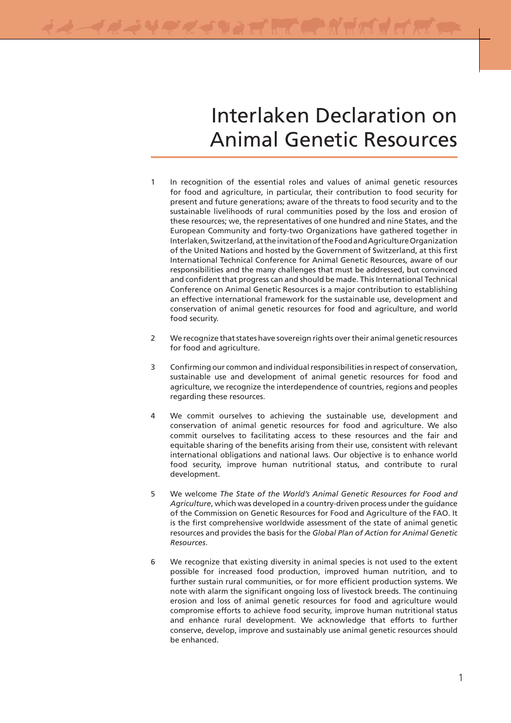# Interlaken Declaration on Animal Genetic Resources

- 1 In recognition of the essential roles and values of animal genetic resources for food and agriculture, in particular, their contribution to food security for present and future generations; aware of the threats to food security and to the sustainable livelihoods of rural communities posed by the loss and erosion of these resources; we, the representatives of one hundred and nine States, and the European Community and forty-two Organizations have gathered together in Interlaken, Switzerland, at the invitation of the Food and Agriculture Organization of the United Nations and hosted by the Government of Switzerland, at this first International Technical Conference for Animal Genetic Resources, aware of our responsibilities and the many challenges that must be addressed, but convinced and confident that progress can and should be made. This International Technical Conference on Animal Genetic Resources is a major contribution to establishing an effective international framework for the sustainable use, development and conservation of animal genetic resources for food and agriculture, and world food security.
- 2 We recognize that states have sovereign rights over their animal genetic resources for food and agriculture.
- 3 Confirming our common and individual responsibilities in respect of conservation, sustainable use and development of animal genetic resources for food and agriculture, we recognize the interdependence of countries, regions and peoples regarding these resources.
- 4 We commit ourselves to achieving the sustainable use, development and conservation of animal genetic resources for food and agriculture. We also commit ourselves to facilitating access to these resources and the fair and equitable sharing of the benefits arising from their use, consistent with relevant international obligations and national laws. Our objective is to enhance world food security, improve human nutritional status, and contribute to rural development.
- 5 We welcome *The State of the World's Animal Genetic Resources for Food and Agriculture*, which was developed in a country-driven process under the guidance of the Commission on Genetic Resources for Food and Agriculture of the FAO. It is the first comprehensive worldwide assessment of the state of animal genetic resources and provides the basis for the *Global Plan of Action for Animal Genetic Resources*.
- 6 We recognize that existing diversity in animal species is not used to the extent possible for increased food production, improved human nutrition, and to further sustain rural communities, or for more efficient production systems. We note with alarm the significant ongoing loss of livestock breeds. The continuing erosion and loss of animal genetic resources for food and agriculture would compromise efforts to achieve food security, improve human nutritional status and enhance rural development. We acknowledge that efforts to further conserve, develop, improve and sustainably use animal genetic resources should be enhanced.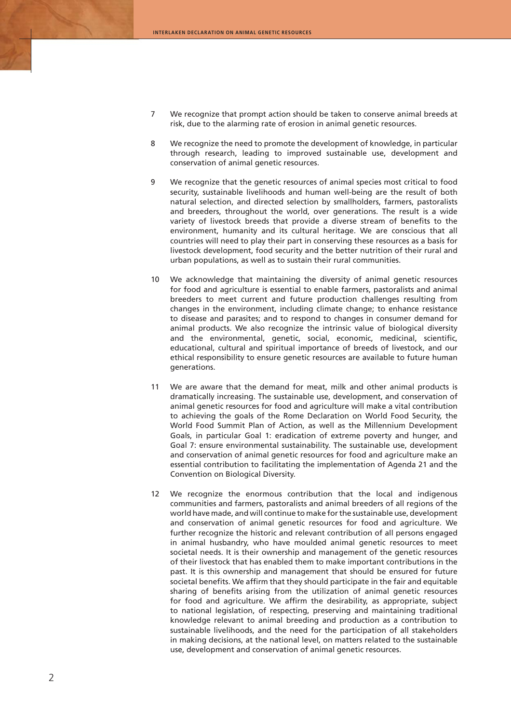- 7 We recognize that prompt action should be taken to conserve animal breeds at risk, due to the alarming rate of erosion in animal genetic resources.
- 8 We recognize the need to promote the development of knowledge, in particular through research, leading to improved sustainable use, development and conservation of animal genetic resources.
- 9 We recognize that the genetic resources of animal species most critical to food security, sustainable livelihoods and human well-being are the result of both natural selection, and directed selection by smallholders, farmers, pastoralists and breeders, throughout the world, over generations. The result is a wide variety of livestock breeds that provide a diverse stream of benefits to the environment, humanity and its cultural heritage. We are conscious that all countries will need to play their part in conserving these resources as a basis for livestock development, food security and the better nutrition of their rural and urban populations, as well as to sustain their rural communities.
- 10 We acknowledge that maintaining the diversity of animal genetic resources for food and agriculture is essential to enable farmers, pastoralists and animal breeders to meet current and future production challenges resulting from changes in the environment, including climate change; to enhance resistance to disease and parasites; and to respond to changes in consumer demand for animal products. We also recognize the intrinsic value of biological diversity and the environmental, genetic, social, economic, medicinal, scientific, educational, cultural and spiritual importance of breeds of livestock, and our ethical responsibility to ensure genetic resources are available to future human generations.
- 11 We are aware that the demand for meat, milk and other animal products is dramatically increasing. The sustainable use, development, and conservation of animal genetic resources for food and agriculture will make a vital contribution to achieving the goals of the Rome Declaration on World Food Security, the World Food Summit Plan of Action, as well as the Millennium Development Goals, in particular Goal 1: eradication of extreme poverty and hunger, and Goal 7: ensure environmental sustainability. The sustainable use, development and conservation of animal genetic resources for food and agriculture make an essential contribution to facilitating the implementation of Agenda 21 and the Convention on Biological Diversity.
- 12 We recognize the enormous contribution that the local and indigenous communities and farmers, pastoralists and animal breeders of all regions of the world have made, and will continue to make for the sustainable use, development and conservation of animal genetic resources for food and agriculture. We further recognize the historic and relevant contribution of all persons engaged in animal husbandry, who have moulded animal genetic resources to meet societal needs. It is their ownership and management of the genetic resources of their livestock that has enabled them to make important contributions in the past. It is this ownership and management that should be ensured for future societal benefits. We affirm that they should participate in the fair and equitable sharing of benefits arising from the utilization of animal genetic resources for food and agriculture. We affirm the desirability, as appropriate, subject to national legislation, of respecting, preserving and maintaining traditional knowledge relevant to animal breeding and production as a contribution to sustainable livelihoods, and the need for the participation of all stakeholders in making decisions, at the national level, on matters related to the sustainable use, development and conservation of animal genetic resources.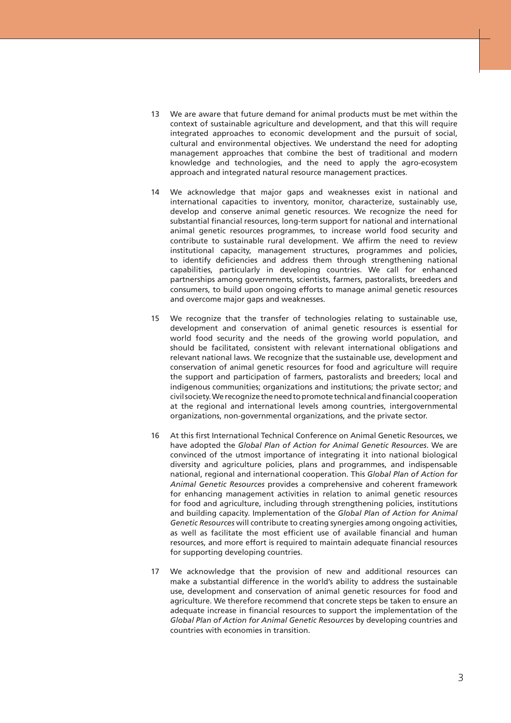- 13 We are aware that future demand for animal products must be met within the context of sustainable agriculture and development, and that this will require integrated approaches to economic development and the pursuit of social, cultural and environmental objectives. We understand the need for adopting management approaches that combine the best of traditional and modern knowledge and technologies, and the need to apply the agro-ecosystem approach and integrated natural resource management practices.
- 14 We acknowledge that major gaps and weaknesses exist in national and international capacities to inventory, monitor, characterize, sustainably use, develop and conserve animal genetic resources. We recognize the need for substantial financial resources, long-term support for national and international animal genetic resources programmes, to increase world food security and contribute to sustainable rural development. We affirm the need to review institutional capacity, management structures, programmes and policies, to identify deficiencies and address them through strengthening national capabilities, particularly in developing countries. We call for enhanced partnerships among governments, scientists, farmers, pastoralists, breeders and consumers, to build upon ongoing efforts to manage animal genetic resources and overcome major gaps and weaknesses.
- 15 We recognize that the transfer of technologies relating to sustainable use, development and conservation of animal genetic resources is essential for world food security and the needs of the growing world population, and should be facilitated, consistent with relevant international obligations and relevant national laws. We recognize that the sustainable use, development and conservation of animal genetic resources for food and agriculture will require the support and participation of farmers, pastoralists and breeders; local and indigenous communities; organizations and institutions; the private sector; and civil society. We recognize the need to promote technical and financial cooperation at the regional and international levels among countries, intergovernmental organizations, non-governmental organizations, and the private sector.
- 16 At this first International Technical Conference on Animal Genetic Resources, we have adopted the *Global Plan of Action for Animal Genetic Resources*. We are convinced of the utmost importance of integrating it into national biological diversity and agriculture policies, plans and programmes, and indispensable national, regional and international cooperation. This *Global Plan of Action for Animal Genetic Resources* provides a comprehensive and coherent framework for enhancing management activities in relation to animal genetic resources for food and agriculture, including through strengthening policies, institutions and building capacity. Implementation of the *Global Plan of Action for Animal Genetic Resources* will contribute to creating synergies among ongoing activities, as well as facilitate the most efficient use of available financial and human resources, and more effort is required to maintain adequate financial resources for supporting developing countries.
- 17 We acknowledge that the provision of new and additional resources can make a substantial difference in the world's ability to address the sustainable use, development and conservation of animal genetic resources for food and agriculture. We therefore recommend that concrete steps be taken to ensure an adequate increase in financial resources to support the implementation of the *Global Plan of Action for Animal Genetic Resources* by developing countries and countries with economies in transition.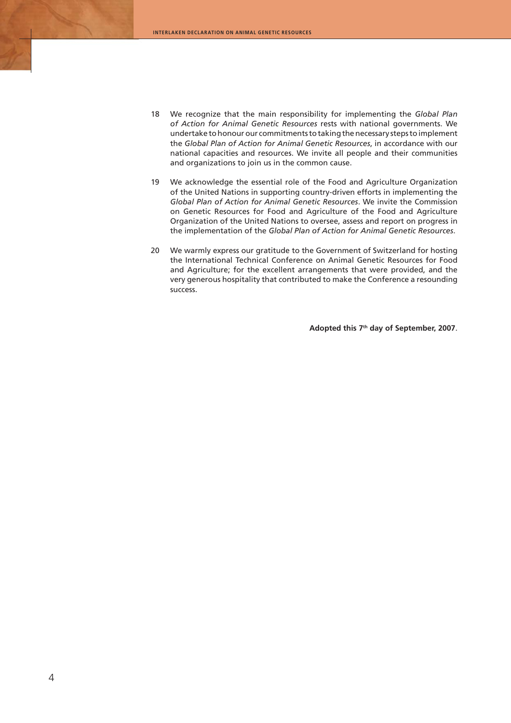- 18 We recognize that the main responsibility for implementing the *Global Plan of Action for Animal Genetic Resources* rests with national governments. We undertake to honour our commitments to taking the necessary steps to implement the *Global Plan of Action for Animal Genetic Resources*, in accordance with our national capacities and resources. We invite all people and their communities and organizations to join us in the common cause.
- 19 We acknowledge the essential role of the Food and Agriculture Organization of the United Nations in supporting country-driven efforts in implementing the *Global Plan of Action for Animal Genetic Resources*. We invite the Commission on Genetic Resources for Food and Agriculture of the Food and Agriculture Organization of the United Nations to oversee, assess and report on progress in the implementation of the *Global Plan of Action for Animal Genetic Resources*.
- 20 We warmly express our gratitude to the Government of Switzerland for hosting the International Technical Conference on Animal Genetic Resources for Food and Agriculture; for the excellent arrangements that were provided, and the very generous hospitality that contributed to make the Conference a resounding success.

**Adopted this 7th day of September, 2007**.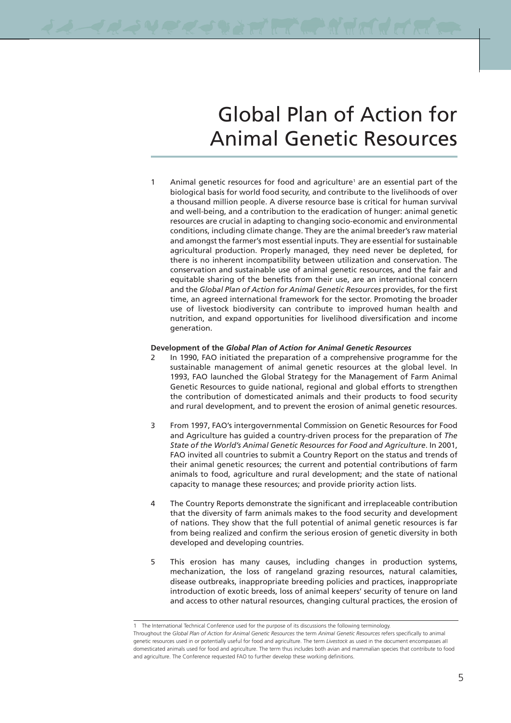# Global Plan of Action for Animal Genetic Resources

1 Animal genetic resources for food and agriculture<sup>1</sup> are an essential part of the biological basis for world food security, and contribute to the livelihoods of over a thousand million people. A diverse resource base is critical for human survival and well-being, and a contribution to the eradication of hunger: animal genetic resources are crucial in adapting to changing socio-economic and environmental conditions, including climate change. They are the animal breeder's raw material and amongst the farmer's most essential inputs. They are essential for sustainable agricultural production. Properly managed, they need never be depleted, for there is no inherent incompatibility between utilization and conservation. The conservation and sustainable use of animal genetic resources, and the fair and equitable sharing of the benefits from their use, are an international concern and the *Global Plan of Action for Animal Genetic Resources* provides, for the first time, an agreed international framework for the sector. Promoting the broader use of livestock biodiversity can contribute to improved human health and nutrition, and expand opportunities for livelihood diversification and income generation.

#### **Development of the** *Global Plan of Action for Animal Genetic Resources*

- 2 In 1990, FAO initiated the preparation of a comprehensive programme for the sustainable management of animal genetic resources at the global level. In 1993, FAO launched the Global Strategy for the Management of Farm Animal Genetic Resources to guide national, regional and global efforts to strengthen the contribution of domesticated animals and their products to food security and rural development, and to prevent the erosion of animal genetic resources.
- 3 From 1997, FAO's intergovernmental Commission on Genetic Resources for Food and Agriculture has guided a country-driven process for the preparation of *The State of the World's Animal Genetic Resources for Food and Agriculture*. In 2001, FAO invited all countries to submit a Country Report on the status and trends of their animal genetic resources; the current and potential contributions of farm animals to food, agriculture and rural development; and the state of national capacity to manage these resources; and provide priority action lists.
- 4 The Country Reports demonstrate the significant and irreplaceable contribution that the diversity of farm animals makes to the food security and development of nations. They show that the full potential of animal genetic resources is far from being realized and confirm the serious erosion of genetic diversity in both developed and developing countries.
- 5 This erosion has many causes, including changes in production systems, mechanization, the loss of rangeland grazing resources, natural calamities, disease outbreaks, inappropriate breeding policies and practices, inappropriate introduction of exotic breeds, loss of animal keepers' security of tenure on land and access to other natural resources, changing cultural practices, the erosion of

<sup>1</sup> The International Technical Conference used for the purpose of its discussions the following terminology. Throughout the *Global Plan of Action for Animal Genetic Resources* the term *Animal Genetic Resources* refers specifically to animal genetic resources used in or potentially useful for food and agriculture. The term *Livestock* as used in the document encompasses all domesticated animals used for food and agriculture. The term thus includes both avian and mammalian species that contribute to food and agriculture. The Conference requested FAO to further develop these working definitions.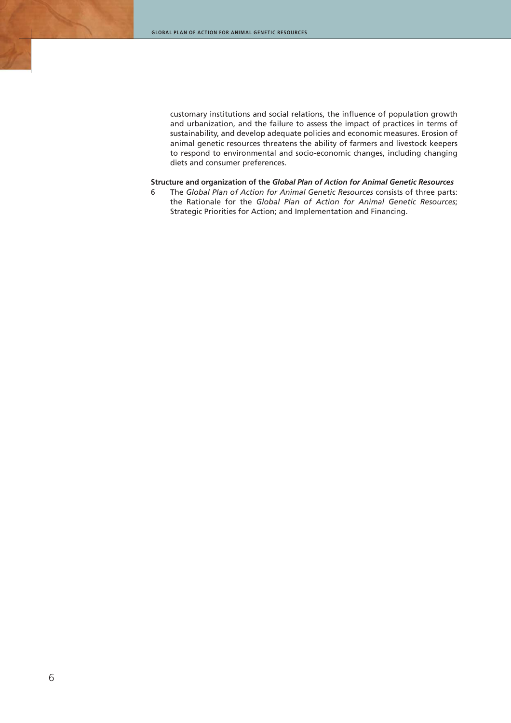customary institutions and social relations, the influence of population growth and urbanization, and the failure to assess the impact of practices in terms of sustainability, and develop adequate policies and economic measures. Erosion of animal genetic resources threatens the ability of farmers and livestock keepers to respond to environmental and socio-economic changes, including changing diets and consumer preferences.

#### **Structure and organization of the** *Global Plan of Action for Animal Genetic Resources*

6 The *Global Plan of Action for Animal Genetic Resources* consists of three parts: the Rationale for the *Global Plan of Action for Animal Genetic Resources*; Strategic Priorities for Action; and Implementation and Financing.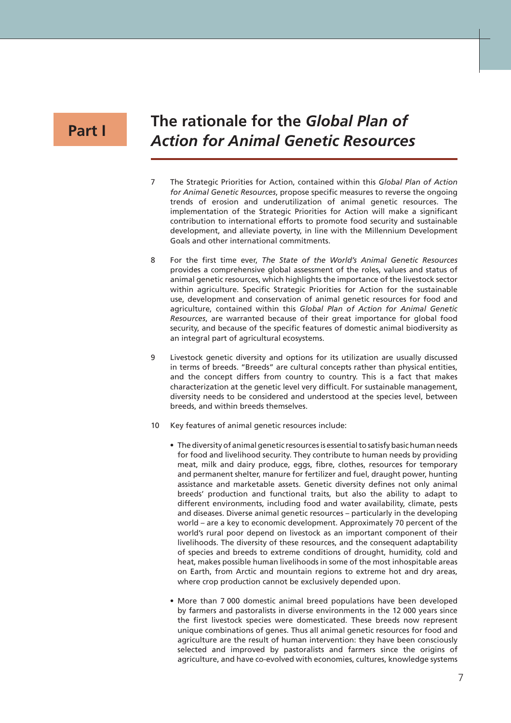## **Part I**

## **The rationale for the** *Global Plan of Action for Animal Genetic Resources*

- 7 The Strategic Priorities for Action, contained within this *Global Plan of Action for Animal Genetic Resources*, propose specific measures to reverse the ongoing trends of erosion and underutilization of animal genetic resources. The implementation of the Strategic Priorities for Action will make a significant contribution to international efforts to promote food security and sustainable development, and alleviate poverty, in line with the Millennium Development Goals and other international commitments.
- 8 For the first time ever, *The State of the World's Animal Genetic Resources*  provides a comprehensive global assessment of the roles, values and status of animal genetic resources, which highlights the importance of the livestock sector within agriculture. Specific Strategic Priorities for Action for the sustainable use, development and conservation of animal genetic resources for food and agriculture, contained within this *Global Plan of Action for Animal Genetic Resources*, are warranted because of their great importance for global food security, and because of the specific features of domestic animal biodiversity as an integral part of agricultural ecosystems.
- 9 Livestock genetic diversity and options for its utilization are usually discussed in terms of breeds. "Breeds" are cultural concepts rather than physical entities, and the concept differs from country to country. This is a fact that makes characterization at the genetic level very difficult. For sustainable management, diversity needs to be considered and understood at the species level, between breeds, and within breeds themselves.
- 10 Key features of animal genetic resources include:
	- The diversity of animal genetic resources is essential to satisfy basic human needs for food and livelihood security. They contribute to human needs by providing meat, milk and dairy produce, eggs, fibre, clothes, resources for temporary and permanent shelter, manure for fertilizer and fuel, draught power, hunting assistance and marketable assets. Genetic diversity defines not only animal breeds' production and functional traits, but also the ability to adapt to different environments, including food and water availability, climate, pests and diseases. Diverse animal genetic resources – particularly in the developing world – are a key to economic development. Approximately 70 percent of the world's rural poor depend on livestock as an important component of their livelihoods. The diversity of these resources, and the consequent adaptability of species and breeds to extreme conditions of drought, humidity, cold and heat, makes possible human livelihoods in some of the most inhospitable areas on Earth, from Arctic and mountain regions to extreme hot and dry areas, where crop production cannot be exclusively depended upon.
	- More than 7 000 domestic animal breed populations have been developed by farmers and pastoralists in diverse environments in the 12 000 years since the first livestock species were domesticated. These breeds now represent unique combinations of genes. Thus all animal genetic resources for food and agriculture are the result of human intervention: they have been consciously selected and improved by pastoralists and farmers since the origins of agriculture, and have co-evolved with economies, cultures, knowledge systems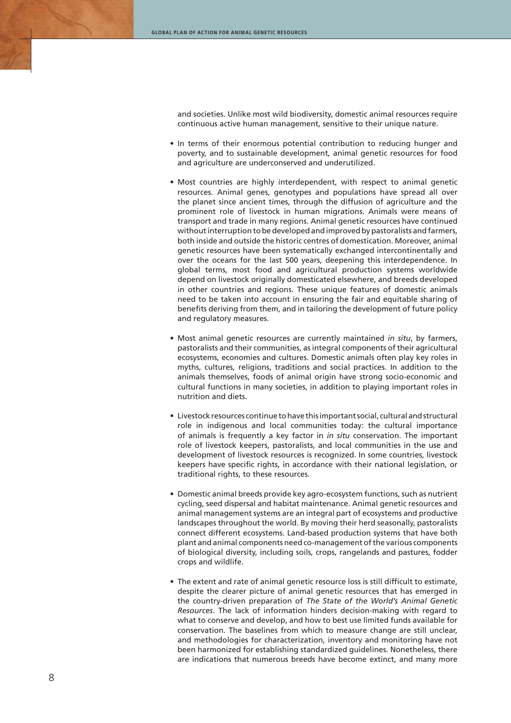and societies. Unlike most wild biodiversity, domestic animal resources require continuous active human management, sensitive to their unique nature.

- In terms of their enormous potential contribution to reducing hunger and poverty, and to sustainable development, animal genetic resources for food and agriculture are underconserved and underutilized.
- Most countries are highly interdependent, with respect to animal genetic resources. Animal genes, genotypes and populations have spread all over the planet since ancient times, through the diffusion of agriculture and the prominent role of livestock in human migrations. Animals were means of transport and trade in many regions. Animal genetic resources have continued without interruption to be developed and improved by pastoralists and farmers, both inside and outside the historic centres of domestication. Moreover, animal genetic resources have been systematically exchanged intercontinentally and over the oceans for the last 500 years, deepening this interdependence. In global terms, most food and agricultural production systems worldwide depend on livestock originally domesticated elsewhere, and breeds developed in other countries and regions. These unique features of domestic animals need to be taken into account in ensuring the fair and equitable sharing of benefits deriving from them, and in tailoring the development of future policy and regulatory measures.
- Most animal genetic resources are currently maintained *in situ*, by farmers, pastoralists and their communities, as integral components of their agricultural ecosystems, economies and cultures. Domestic animals often play key roles in myths, cultures, religions, traditions and social practices. In addition to the animals themselves, foods of animal origin have strong socio-economic and cultural functions in many societies, in addition to playing important roles in nutrition and diets.
- Livestock resources continue to have this important social, cultural and structural role in indigenous and local communities today: the cultural importance of animals is frequently a key factor in *in situ* conservation. The important role of livestock keepers, pastoralists, and local communities in the use and development of livestock resources is recognized. In some countries, livestock keepers have specific rights, in accordance with their national legislation, or traditional rights, to these resources.
- Domestic animal breeds provide key agro-ecosystem functions, such as nutrient cycling, seed dispersal and habitat maintenance. Animal genetic resources and animal management systems are an integral part of ecosystems and productive landscapes throughout the world. By moving their herd seasonally, pastoralists connect different ecosystems. Land-based production systems that have both plant and animal components need co-management of the various components of biological diversity, including soils, crops, rangelands and pastures, fodder crops and wildlife.
- The extent and rate of animal genetic resource loss is still difficult to estimate, despite the clearer picture of animal genetic resources that has emerged in the country-driven preparation of *The State of the World's Animal Genetic Resources*. The lack of information hinders decision-making with regard to what to conserve and develop, and how to best use limited funds available for conservation. The baselines from which to measure change are still unclear, and methodologies for characterization, inventory and monitoring have not been harmonized for establishing standardized guidelines. Nonetheless, there are indications that numerous breeds have become extinct, and many more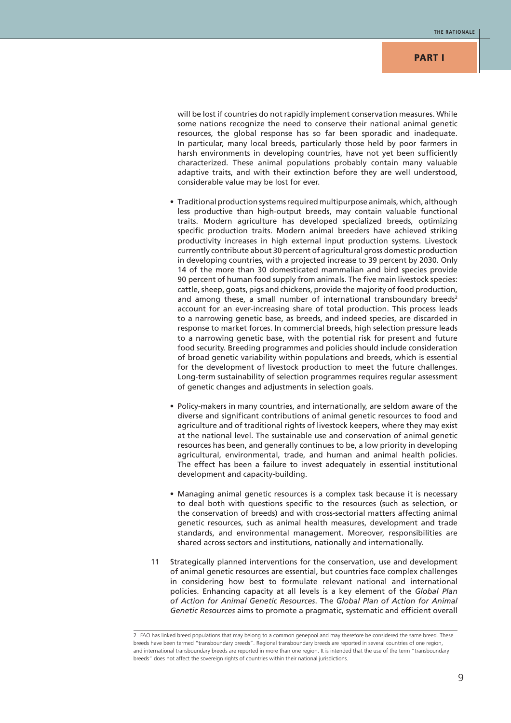will be lost if countries do not rapidly implement conservation measures. While some nations recognize the need to conserve their national animal genetic resources, the global response has so far been sporadic and inadequate. In particular, many local breeds, particularly those held by poor farmers in harsh environments in developing countries, have not yet been sufficiently characterized. These animal populations probably contain many valuable adaptive traits, and with their extinction before they are well understood, considerable value may be lost for ever.

- Traditional production systems required multipurpose animals, which, although less productive than high-output breeds, may contain valuable functional traits. Modern agriculture has developed specialized breeds, optimizing specific production traits. Modern animal breeders have achieved striking productivity increases in high external input production systems. Livestock currently contribute about 30 percent of agricultural gross domestic production in developing countries, with a projected increase to 39 percent by 2030. Only 14 of the more than 30 domesticated mammalian and bird species provide 90 percent of human food supply from animals. The five main livestock species: cattle, sheep, goats, pigs and chickens, provide the majority of food production, and among these, a small number of international transboundary breeds<sup>2</sup> account for an ever-increasing share of total production. This process leads to a narrowing genetic base, as breeds, and indeed species, are discarded in response to market forces. In commercial breeds, high selection pressure leads to a narrowing genetic base, with the potential risk for present and future food security. Breeding programmes and policies should include consideration of broad genetic variability within populations and breeds, which is essential for the development of livestock production to meet the future challenges. Long-term sustainability of selection programmes requires regular assessment of genetic changes and adjustments in selection goals.
- Policy-makers in many countries, and internationally, are seldom aware of the diverse and significant contributions of animal genetic resources to food and agriculture and of traditional rights of livestock keepers, where they may exist at the national level. The sustainable use and conservation of animal genetic resources has been, and generally continues to be, a low priority in developing agricultural, environmental, trade, and human and animal health policies. The effect has been a failure to invest adequately in essential institutional development and capacity-building.
- Managing animal genetic resources is a complex task because it is necessary to deal both with questions specific to the resources (such as selection, or the conservation of breeds) and with cross-sectorial matters affecting animal genetic resources, such as animal health measures, development and trade standards, and environmental management. Moreover, responsibilities are shared across sectors and institutions, nationally and internationally.
- 11 Strategically planned interventions for the conservation, use and development of animal genetic resources are essential, but countries face complex challenges in considering how best to formulate relevant national and international policies. Enhancing capacity at all levels is a key element of the *Global Plan of Action for Animal Genetic Resources*. The *Global Plan of Action for Animal Genetic Resources* aims to promote a pragmatic, systematic and efficient overall

<sup>2</sup> FAO has linked breed populations that may belong to a common genepool and may therefore be considered the same breed. These breeds have been termed "transboundary breeds". Regional transboundary breeds are reported in several countries of one region, and international transboundary breeds are reported in more than one region. It is intended that the use of the term "transboundary breeds" does not affect the sovereign rights of countries within their national jurisdictions.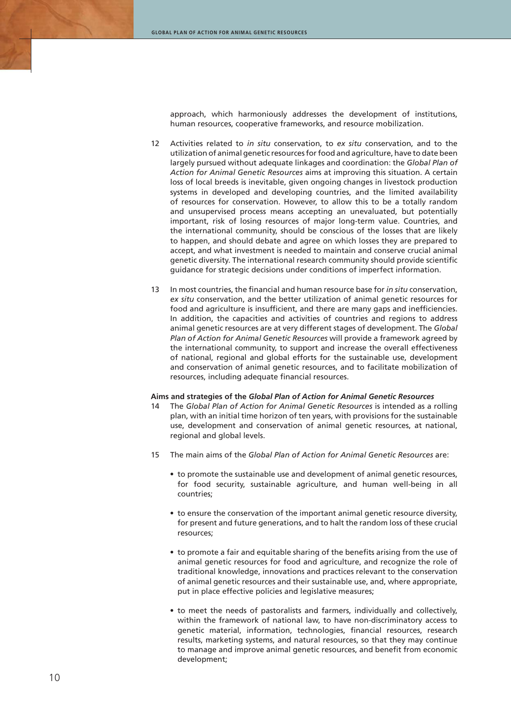approach, which harmoniously addresses the development of institutions, human resources, cooperative frameworks, and resource mobilization.

- 12 Activities related to *in situ* conservation, to *ex situ* conservation, and to the utilization of animal genetic resources for food and agriculture, have to date been largely pursued without adequate linkages and coordination: the *Global Plan of Action for Animal Genetic Resources* aims at improving this situation. A certain loss of local breeds is inevitable, given ongoing changes in livestock production systems in developed and developing countries, and the limited availability of resources for conservation. However, to allow this to be a totally random and unsupervised process means accepting an unevaluated, but potentially important, risk of losing resources of major long-term value. Countries, and the international community, should be conscious of the losses that are likely to happen, and should debate and agree on which losses they are prepared to accept, and what investment is needed to maintain and conserve crucial animal genetic diversity. The international research community should provide scientific guidance for strategic decisions under conditions of imperfect information.
- 13 In most countries, the financial and human resource base for *in situ* conservation, *ex situ* conservation, and the better utilization of animal genetic resources for food and agriculture is insufficient, and there are many gaps and inefficiencies. In addition, the capacities and activities of countries and regions to address animal genetic resources are at very different stages of development. The *Global Plan of Action for Animal Genetic Resources* will provide a framework agreed by the international community, to support and increase the overall effectiveness of national, regional and global efforts for the sustainable use, development and conservation of animal genetic resources, and to facilitate mobilization of resources, including adequate financial resources.

#### **Aims and strategies of the** *Global Plan of Action for Animal Genetic Resources*

- 14 The *Global Plan of Action for Animal Genetic Resources* is intended as a rolling plan, with an initial time horizon of ten years, with provisions for the sustainable use, development and conservation of animal genetic resources, at national, regional and global levels.
- 15 The main aims of the *Global Plan of Action for Animal Genetic Resources* are:
	- to promote the sustainable use and development of animal genetic resources, for food security, sustainable agriculture, and human well-being in all countries;
	- to ensure the conservation of the important animal genetic resource diversity, for present and future generations, and to halt the random loss of these crucial resources;
	- to promote a fair and equitable sharing of the benefits arising from the use of animal genetic resources for food and agriculture, and recognize the role of traditional knowledge, innovations and practices relevant to the conservation of animal genetic resources and their sustainable use, and, where appropriate, put in place effective policies and legislative measures;
	- to meet the needs of pastoralists and farmers, individually and collectively, within the framework of national law, to have non-discriminatory access to genetic material, information, technologies, financial resources, research results, marketing systems, and natural resources, so that they may continue to manage and improve animal genetic resources, and benefit from economic development;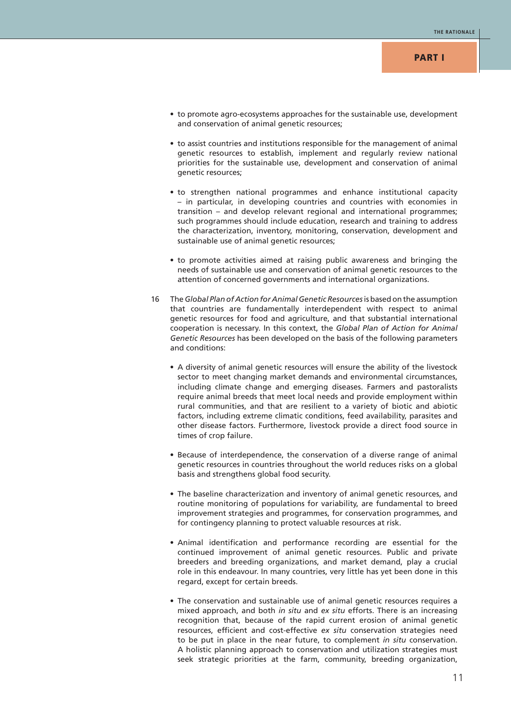- to promote agro-ecosystems approaches for the sustainable use, development and conservation of animal genetic resources;
- to assist countries and institutions responsible for the management of animal genetic resources to establish, implement and regularly review national priorities for the sustainable use, development and conservation of animal genetic resources;
- to strengthen national programmes and enhance institutional capacity – in particular, in developing countries and countries with economies in transition – and develop relevant regional and international programmes; such programmes should include education, research and training to address the characterization, inventory, monitoring, conservation, development and sustainable use of animal genetic resources;
- to promote activities aimed at raising public awareness and bringing the needs of sustainable use and conservation of animal genetic resources to the attention of concerned governments and international organizations.
- 16 The *Global Plan of Action for Animal Genetic Resources* is based on the assumption that countries are fundamentally interdependent with respect to animal genetic resources for food and agriculture, and that substantial international cooperation is necessary. In this context, the *Global Plan of Action for Animal Genetic Resources* has been developed on the basis of the following parameters and conditions:
	- A diversity of animal genetic resources will ensure the ability of the livestock sector to meet changing market demands and environmental circumstances, including climate change and emerging diseases. Farmers and pastoralists require animal breeds that meet local needs and provide employment within rural communities, and that are resilient to a variety of biotic and abiotic factors, including extreme climatic conditions, feed availability, parasites and other disease factors. Furthermore, livestock provide a direct food source in times of crop failure.
	- Because of interdependence, the conservation of a diverse range of animal genetic resources in countries throughout the world reduces risks on a global basis and strengthens global food security.
	- The baseline characterization and inventory of animal genetic resources, and routine monitoring of populations for variability, are fundamental to breed improvement strategies and programmes, for conservation programmes, and for contingency planning to protect valuable resources at risk.
	- Animal identification and performance recording are essential for the continued improvement of animal genetic resources. Public and private breeders and breeding organizations, and market demand, play a crucial role in this endeavour. In many countries, very little has yet been done in this regard, except for certain breeds.
	- The conservation and sustainable use of animal genetic resources requires a mixed approach, and both *in situ* and *ex situ* efforts. There is an increasing recognition that, because of the rapid current erosion of animal genetic resources, efficient and cost-effective *ex situ* conservation strategies need to be put in place in the near future, to complement *in situ* conservation. A holistic planning approach to conservation and utilization strategies must seek strategic priorities at the farm, community, breeding organization,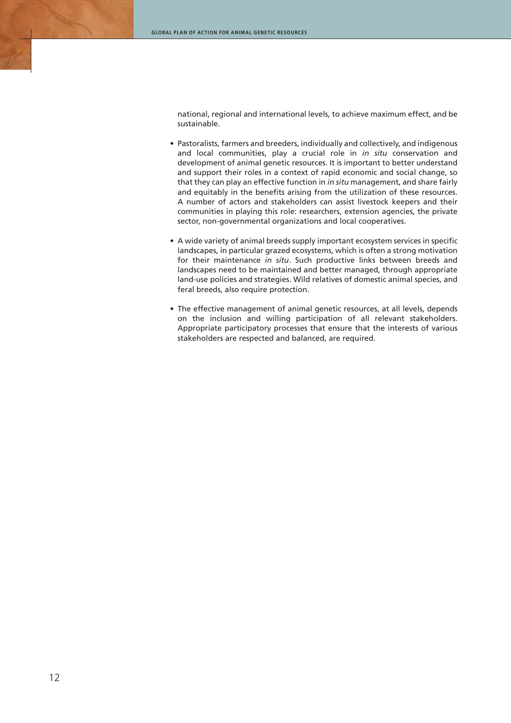national, regional and international levels, to achieve maximum effect, and be sustainable.

- Pastoralists, farmers and breeders, individually and collectively, and indigenous and local communities, play a crucial role in *in situ* conservation and development of animal genetic resources. It is important to better understand and support their roles in a context of rapid economic and social change, so that they can play an effective function in *in situ* management, and share fairly and equitably in the benefits arising from the utilization of these resources. A number of actors and stakeholders can assist livestock keepers and their communities in playing this role: researchers, extension agencies, the private sector, non-governmental organizations and local cooperatives.
- A wide variety of animal breeds supply important ecosystem services in specific landscapes, in particular grazed ecosystems, which is often a strong motivation for their maintenance *in situ*. Such productive links between breeds and landscapes need to be maintained and better managed, through appropriate land-use policies and strategies. Wild relatives of domestic animal species, and feral breeds, also require protection.
- The effective management of animal genetic resources, at all levels, depends on the inclusion and willing participation of all relevant stakeholders. Appropriate participatory processes that ensure that the interests of various stakeholders are respected and balanced, are required.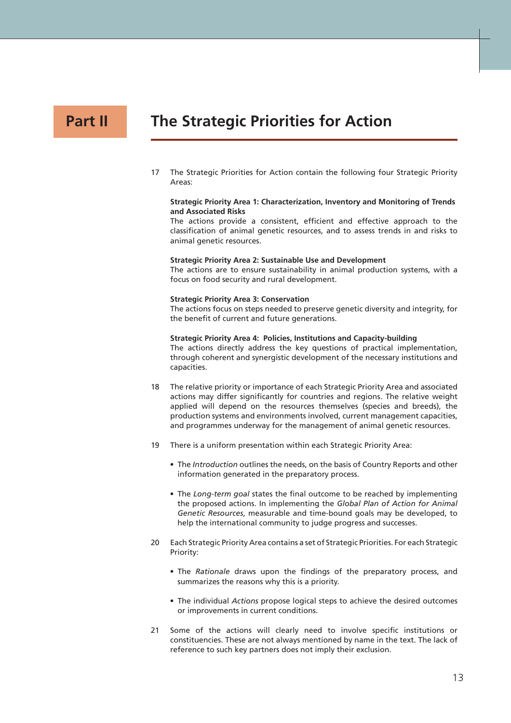## **Part II**

## **The Strategic Priorities for Action**

17 The Strategic Priorities for Action contain the following four Strategic Priority Areas:

#### **Strategic Priority Area 1: Characterization, Inventory and Monitoring of Trends and Associated Risks**

The actions provide a consistent, efficient and effective approach to the classification of animal genetic resources, and to assess trends in and risks to animal genetic resources.

#### **Strategic Priority Area 2: Sustainable Use and Development**

The actions are to ensure sustainability in animal production systems, with a focus on food security and rural development.

#### **Strategic Priority Area 3: Conservation**

The actions focus on steps needed to preserve genetic diversity and integrity, for the benefit of current and future generations.

#### **Strategic Priority Area 4: Policies, Institutions and Capacity-building**

The actions directly address the key questions of practical implementation, through coherent and synergistic development of the necessary institutions and capacities.

- 18 The relative priority or importance of each Strategic Priority Area and associated actions may differ significantly for countries and regions. The relative weight applied will depend on the resources themselves (species and breeds), the production systems and environments involved, current management capacities, and programmes underway for the management of animal genetic resources.
- 19 There is a uniform presentation within each Strategic Priority Area:
	- The *Introduction* outlines the needs, on the basis of Country Reports and other information generated in the preparatory process.
	- The *Long-term goal* states the final outcome to be reached by implementing the proposed actions. In implementing the *Global Plan of Action for Animal Genetic Resources*, measurable and time-bound goals may be developed, to help the international community to judge progress and successes.
- 20 Each Strategic Priority Area contains a set of Strategic Priorities. For each Strategic Priority:
	- The *Rationale* draws upon the findings of the preparatory process, and summarizes the reasons why this is a priority.
	- The individual *Actions* propose logical steps to achieve the desired outcomes or improvements in current conditions.
- 21 Some of the actions will clearly need to involve specific institutions or constituencies. These are not always mentioned by name in the text. The lack of reference to such key partners does not imply their exclusion.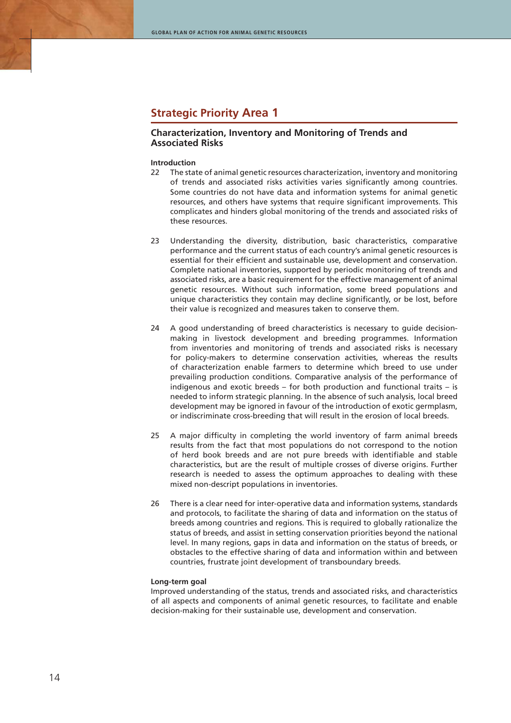## **Strategic Priority Area 1**

## **Characterization, Inventory and Monitoring of Trends and Associated Risks**

#### **Introduction**

- 22 The state of animal genetic resources characterization, inventory and monitoring of trends and associated risks activities varies significantly among countries. Some countries do not have data and information systems for animal genetic resources, and others have systems that require significant improvements. This complicates and hinders global monitoring of the trends and associated risks of these resources.
- 23 Understanding the diversity, distribution, basic characteristics, comparative performance and the current status of each country's animal genetic resources is essential for their efficient and sustainable use, development and conservation. Complete national inventories, supported by periodic monitoring of trends and associated risks, are a basic requirement for the effective management of animal genetic resources. Without such information, some breed populations and unique characteristics they contain may decline significantly, or be lost, before their value is recognized and measures taken to conserve them.
- 24 A good understanding of breed characteristics is necessary to guide decisionmaking in livestock development and breeding programmes. Information from inventories and monitoring of trends and associated risks is necessary for policy-makers to determine conservation activities, whereas the results of characterization enable farmers to determine which breed to use under prevailing production conditions. Comparative analysis of the performance of indigenous and exotic breeds – for both production and functional traits – is needed to inform strategic planning. In the absence of such analysis, local breed development may be ignored in favour of the introduction of exotic germplasm, or indiscriminate cross-breeding that will result in the erosion of local breeds.
- 25 A major difficulty in completing the world inventory of farm animal breeds results from the fact that most populations do not correspond to the notion of herd book breeds and are not pure breeds with identifiable and stable characteristics, but are the result of multiple crosses of diverse origins. Further research is needed to assess the optimum approaches to dealing with these mixed non-descript populations in inventories.
- 26 There is a clear need for inter-operative data and information systems, standards and protocols, to facilitate the sharing of data and information on the status of breeds among countries and regions. This is required to globally rationalize the status of breeds, and assist in setting conservation priorities beyond the national level. In many regions, gaps in data and information on the status of breeds, or obstacles to the effective sharing of data and information within and between countries, frustrate joint development of transboundary breeds.

#### **Long-term goal**

Improved understanding of the status, trends and associated risks, and characteristics of all aspects and components of animal genetic resources, to facilitate and enable decision-making for their sustainable use, development and conservation.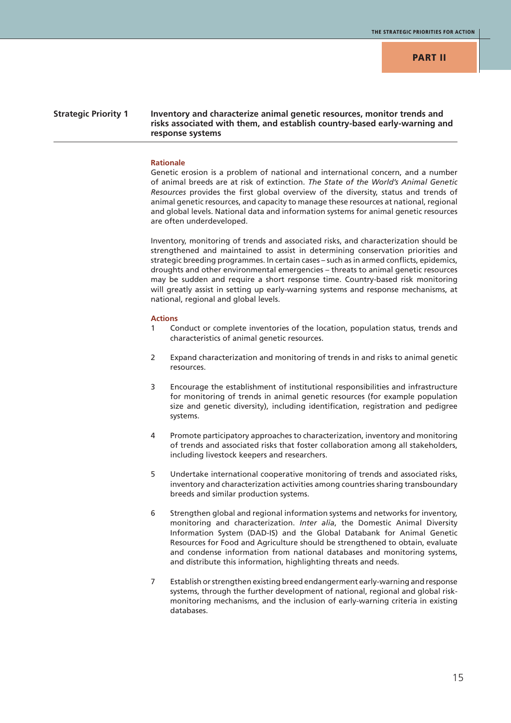## **Strategic Priority 1 Inventory and characterize animal genetic resources, monitor trends and risks associated with them, and establish country-based early-warning and response systems**

#### **Rationale**

Genetic erosion is a problem of national and international concern, and a number of animal breeds are at risk of extinction. *The State of the World's Animal Genetic Resources* provides the first global overview of the diversity, status and trends of animal genetic resources, and capacity to manage these resources at national, regional and global levels. National data and information systems for animal genetic resources are often underdeveloped.

Inventory, monitoring of trends and associated risks, and characterization should be strengthened and maintained to assist in determining conservation priorities and strategic breeding programmes. In certain cases – such as in armed conflicts, epidemics, droughts and other environmental emergencies – threats to animal genetic resources may be sudden and require a short response time. Country-based risk monitoring will greatly assist in setting up early-warning systems and response mechanisms, at national, regional and global levels.

- 1 Conduct or complete inventories of the location, population status, trends and characteristics of animal genetic resources.
- 2 Expand characterization and monitoring of trends in and risks to animal genetic resources.
- 3 Encourage the establishment of institutional responsibilities and infrastructure for monitoring of trends in animal genetic resources (for example population size and genetic diversity), including identification, registration and pedigree systems.
- 4 Promote participatory approaches to characterization, inventory and monitoring of trends and associated risks that foster collaboration among all stakeholders, including livestock keepers and researchers.
- 5 Undertake international cooperative monitoring of trends and associated risks, inventory and characterization activities among countries sharing transboundary breeds and similar production systems.
- 6 Strengthen global and regional information systems and networks for inventory, monitoring and characterization. *Inter alia*, the Domestic Animal Diversity Information System (DAD-IS) and the Global Databank for Animal Genetic Resources for Food and Agriculture should be strengthened to obtain, evaluate and condense information from national databases and monitoring systems, and distribute this information, highlighting threats and needs.
- 7 Establish or strengthen existing breed endangerment early-warning and response systems, through the further development of national, regional and global riskmonitoring mechanisms, and the inclusion of early-warning criteria in existing databases.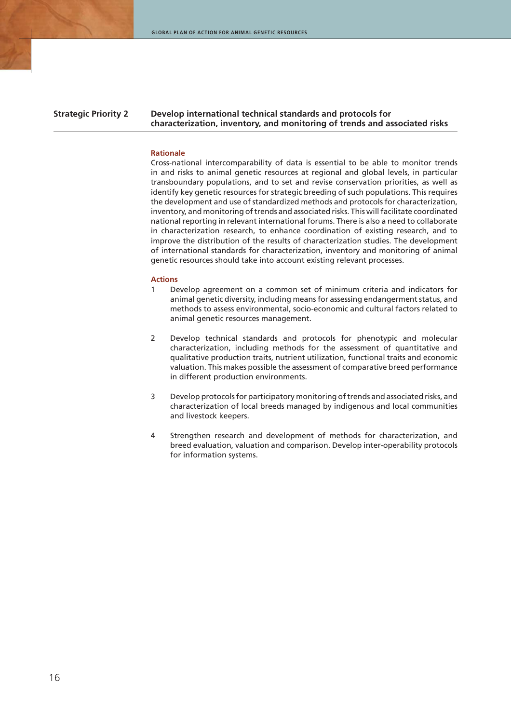### **Strategic Priority 2 Develop international technical standards and protocols for characterization, inventory, and monitoring of trends and associated risks**

#### **Rationale**

Cross-national intercomparability of data is essential to be able to monitor trends in and risks to animal genetic resources at regional and global levels, in particular transboundary populations, and to set and revise conservation priorities, as well as identify key genetic resources for strategic breeding of such populations. This requires the development and use of standardized methods and protocols for characterization, inventory, and monitoring of trends and associated risks. This will facilitate coordinated national reporting in relevant international forums. There is also a need to collaborate in characterization research, to enhance coordination of existing research, and to improve the distribution of the results of characterization studies. The development of international standards for characterization, inventory and monitoring of animal genetic resources should take into account existing relevant processes.

- 1 Develop agreement on a common set of minimum criteria and indicators for animal genetic diversity, including means for assessing endangerment status, and methods to assess environmental, socio-economic and cultural factors related to animal genetic resources management.
- 2 Develop technical standards and protocols for phenotypic and molecular characterization, including methods for the assessment of quantitative and qualitative production traits, nutrient utilization, functional traits and economic valuation. This makes possible the assessment of comparative breed performance in different production environments.
- 3 Develop protocols for participatory monitoring of trends and associated risks, and characterization of local breeds managed by indigenous and local communities and livestock keepers.
- 4 Strengthen research and development of methods for characterization, and breed evaluation, valuation and comparison. Develop inter-operability protocols for information systems.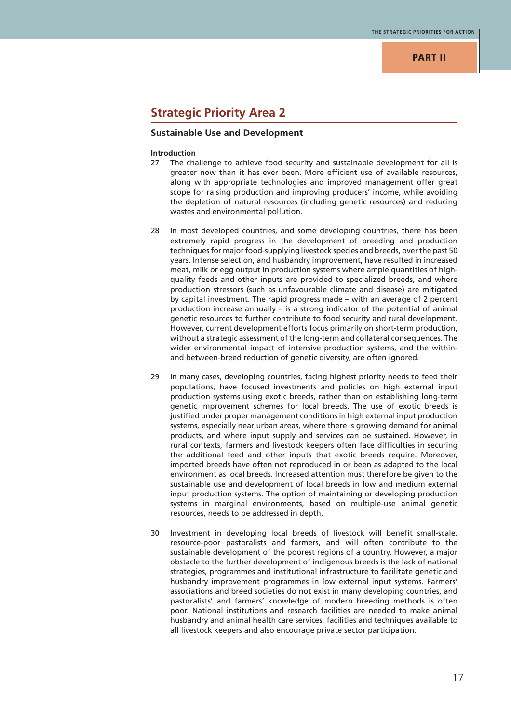## **PART II**

## **Strategic Priority Area 2**

## **Sustainable Use and Development**

#### **Introduction**

- 27 The challenge to achieve food security and sustainable development for all is greater now than it has ever been. More efficient use of available resources, along with appropriate technologies and improved management offer great scope for raising production and improving producers' income, while avoiding the depletion of natural resources (including genetic resources) and reducing wastes and environmental pollution.
- 28 In most developed countries, and some developing countries, there has been extremely rapid progress in the development of breeding and production techniques for major food-supplying livestock species and breeds, over the past 50 years. Intense selection, and husbandry improvement, have resulted in increased meat, milk or egg output in production systems where ample quantities of highquality feeds and other inputs are provided to specialized breeds, and where production stressors (such as unfavourable climate and disease) are mitigated by capital investment. The rapid progress made – with an average of 2 percent production increase annually – is a strong indicator of the potential of animal genetic resources to further contribute to food security and rural development. However, current development efforts focus primarily on short-term production, without a strategic assessment of the long-term and collateral consequences. The wider environmental impact of intensive production systems, and the withinand between-breed reduction of genetic diversity, are often ignored.
- 29 In many cases, developing countries, facing highest priority needs to feed their populations, have focused investments and policies on high external input production systems using exotic breeds, rather than on establishing long-term genetic improvement schemes for local breeds. The use of exotic breeds is justified under proper management conditions in high external input production systems, especially near urban areas, where there is growing demand for animal products, and where input supply and services can be sustained. However, in rural contexts, farmers and livestock keepers often face difficulties in securing the additional feed and other inputs that exotic breeds require. Moreover, imported breeds have often not reproduced in or been as adapted to the local environment as local breeds. Increased attention must therefore be given to the sustainable use and development of local breeds in low and medium external input production systems. The option of maintaining or developing production systems in marginal environments, based on multiple-use animal genetic resources, needs to be addressed in depth.
- 30 Investment in developing local breeds of livestock will benefit small-scale, resource-poor pastoralists and farmers, and will often contribute to the sustainable development of the poorest regions of a country. However, a major obstacle to the further development of indigenous breeds is the lack of national strategies, programmes and institutional infrastructure to facilitate genetic and husbandry improvement programmes in low external input systems. Farmers' associations and breed societies do not exist in many developing countries, and pastoralists' and farmers' knowledge of modern breeding methods is often poor. National institutions and research facilities are needed to make animal husbandry and animal health care services, facilities and techniques available to all livestock keepers and also encourage private sector participation.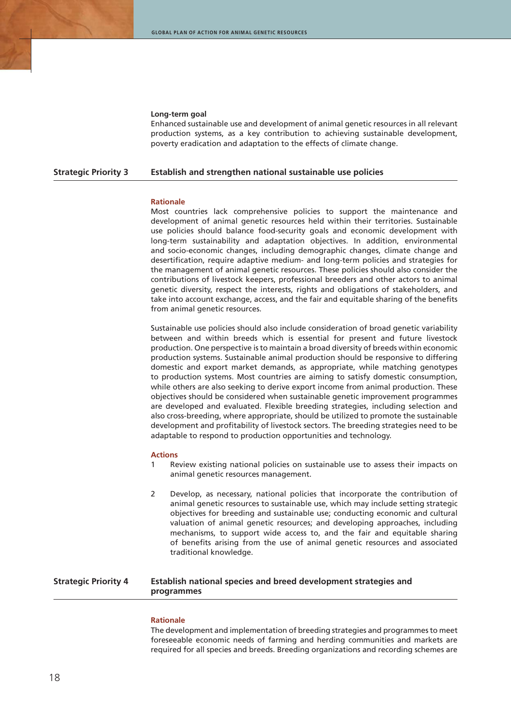#### **Long-term goal**

Enhanced sustainable use and development of animal genetic resources in all relevant production systems, as a key contribution to achieving sustainable development, poverty eradication and adaptation to the effects of climate change.

#### **Strategic Priority 3 Establish and strengthen national sustainable use policies**

#### **Rationale**

Most countries lack comprehensive policies to support the maintenance and development of animal genetic resources held within their territories. Sustainable use policies should balance food-security goals and economic development with long-term sustainability and adaptation objectives. In addition, environmental and socio-economic changes, including demographic changes, climate change and desertification, require adaptive medium- and long-term policies and strategies for the management of animal genetic resources. These policies should also consider the contributions of livestock keepers, professional breeders and other actors to animal genetic diversity, respect the interests, rights and obligations of stakeholders, and take into account exchange, access, and the fair and equitable sharing of the benefits from animal genetic resources.

Sustainable use policies should also include consideration of broad genetic variability between and within breeds which is essential for present and future livestock production. One perspective is to maintain a broad diversity of breeds within economic production systems. Sustainable animal production should be responsive to differing domestic and export market demands, as appropriate, while matching genotypes to production systems. Most countries are aiming to satisfy domestic consumption, while others are also seeking to derive export income from animal production. These objectives should be considered when sustainable genetic improvement programmes are developed and evaluated. Flexible breeding strategies, including selection and also cross-breeding, where appropriate, should be utilized to promote the sustainable development and profitability of livestock sectors. The breeding strategies need to be adaptable to respond to production opportunities and technology.

#### **Actions**

- 1 Review existing national policies on sustainable use to assess their impacts on animal genetic resources management.
- 2 Develop, as necessary, national policies that incorporate the contribution of animal genetic resources to sustainable use, which may include setting strategic objectives for breeding and sustainable use; conducting economic and cultural valuation of animal genetic resources; and developing approaches, including mechanisms, to support wide access to, and the fair and equitable sharing of benefits arising from the use of animal genetic resources and associated traditional knowledge.

## **Strategic Priority 4 Establish national species and breed development strategies and programmes**

#### **Rationale**

The development and implementation of breeding strategies and programmes to meet foreseeable economic needs of farming and herding communities and markets are required for all species and breeds. Breeding organizations and recording schemes are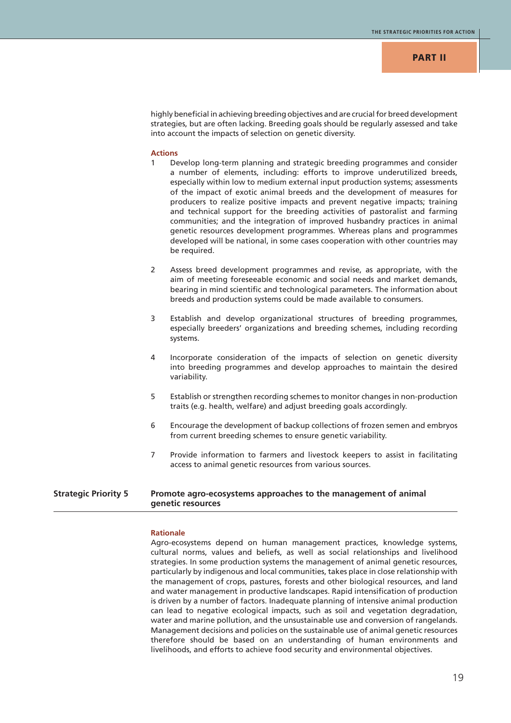highly beneficial in achieving breeding objectives and are crucial for breed development strategies, but are often lacking. Breeding goals should be regularly assessed and take into account the impacts of selection on genetic diversity.

#### **Actions**

- 1 Develop long-term planning and strategic breeding programmes and consider a number of elements, including: efforts to improve underutilized breeds, especially within low to medium external input production systems; assessments of the impact of exotic animal breeds and the development of measures for producers to realize positive impacts and prevent negative impacts; training and technical support for the breeding activities of pastoralist and farming communities; and the integration of improved husbandry practices in animal genetic resources development programmes. Whereas plans and programmes developed will be national, in some cases cooperation with other countries may be required.
- 2 Assess breed development programmes and revise, as appropriate, with the aim of meeting foreseeable economic and social needs and market demands, bearing in mind scientific and technological parameters. The information about breeds and production systems could be made available to consumers.
- 3 Establish and develop organizational structures of breeding programmes, especially breeders' organizations and breeding schemes, including recording systems.
- 4 Incorporate consideration of the impacts of selection on genetic diversity into breeding programmes and develop approaches to maintain the desired variability.
- 5 Establish or strengthen recording schemes to monitor changes in non-production traits (e.g. health, welfare) and adjust breeding goals accordingly.
- 6 Encourage the development of backup collections of frozen semen and embryos from current breeding schemes to ensure genetic variability.
- 7 Provide information to farmers and livestock keepers to assist in facilitating access to animal genetic resources from various sources.

## **Strategic Priority 5 Promote agro-ecosystems approaches to the management of animal genetic resources**

#### **Rationale**

Agro-ecosystems depend on human management practices, knowledge systems, cultural norms, values and beliefs, as well as social relationships and livelihood strategies. In some production systems the management of animal genetic resources, particularly by indigenous and local communities, takes place in close relationship with the management of crops, pastures, forests and other biological resources, and land and water management in productive landscapes. Rapid intensification of production is driven by a number of factors. Inadequate planning of intensive animal production can lead to negative ecological impacts, such as soil and vegetation degradation, water and marine pollution, and the unsustainable use and conversion of rangelands. Management decisions and policies on the sustainable use of animal genetic resources therefore should be based on an understanding of human environments and livelihoods, and efforts to achieve food security and environmental objectives.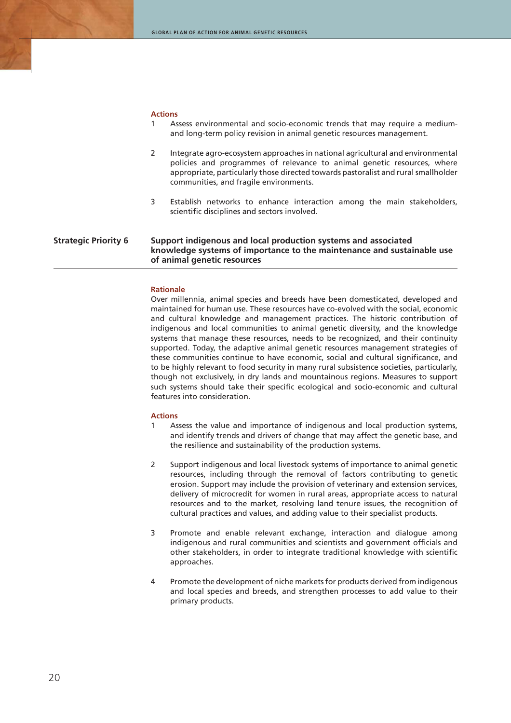#### **Actions**

- 1 Assess environmental and socio-economic trends that may require a mediumand long-term policy revision in animal genetic resources management.
- 2 Integrate agro-ecosystem approaches in national agricultural and environmental policies and programmes of relevance to animal genetic resources, where appropriate, particularly those directed towards pastoralist and rural smallholder communities, and fragile environments.
- 3 Establish networks to enhance interaction among the main stakeholders, scientific disciplines and sectors involved.

## **Strategic Priority 6 Support indigenous and local production systems and associated knowledge systems of importance to the maintenance and sustainable use of animal genetic resources**

#### **Rationale**

Over millennia, animal species and breeds have been domesticated, developed and maintained for human use. These resources have co-evolved with the social, economic and cultural knowledge and management practices. The historic contribution of indigenous and local communities to animal genetic diversity, and the knowledge systems that manage these resources, needs to be recognized, and their continuity supported. Today, the adaptive animal genetic resources management strategies of these communities continue to have economic, social and cultural significance, and to be highly relevant to food security in many rural subsistence societies, particularly, though not exclusively, in dry lands and mountainous regions. Measures to support such systems should take their specific ecological and socio-economic and cultural features into consideration.

- 1 Assess the value and importance of indigenous and local production systems, and identify trends and drivers of change that may affect the genetic base, and the resilience and sustainability of the production systems.
- 2 Support indigenous and local livestock systems of importance to animal genetic resources, including through the removal of factors contributing to genetic erosion. Support may include the provision of veterinary and extension services, delivery of microcredit for women in rural areas, appropriate access to natural resources and to the market, resolving land tenure issues, the recognition of cultural practices and values, and adding value to their specialist products.
- 3 Promote and enable relevant exchange, interaction and dialogue among indigenous and rural communities and scientists and government officials and other stakeholders, in order to integrate traditional knowledge with scientific approaches.
- 4 Promote the development of niche markets for products derived from indigenous and local species and breeds, and strengthen processes to add value to their primary products.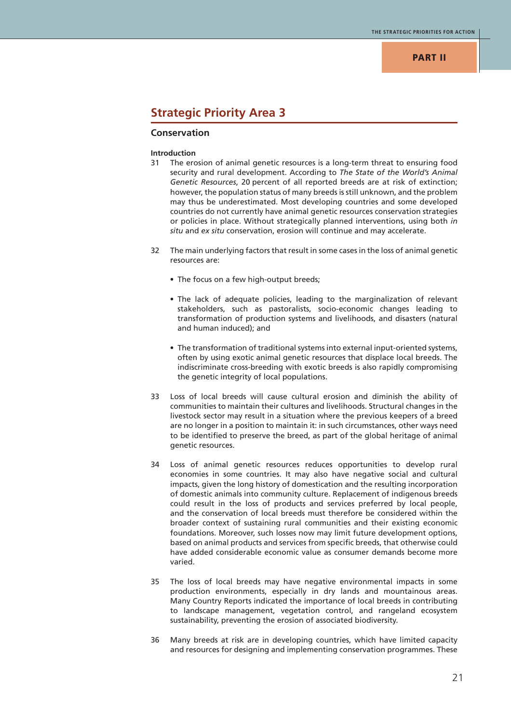## **PART II**

## **Strategic Priority Area 3**

## **Conservation**

#### **Introduction**

- 31 The erosion of animal genetic resources is a long-term threat to ensuring food security and rural development. According to *The State of the World's Animal Genetic Resources*, 20 percent of all reported breeds are at risk of extinction; however, the population status of many breeds is still unknown, and the problem may thus be underestimated. Most developing countries and some developed countries do not currently have animal genetic resources conservation strategies or policies in place. Without strategically planned interventions, using both *in situ* and *ex situ* conservation, erosion will continue and may accelerate.
- 32 The main underlying factors that result in some cases in the loss of animal genetic resources are:
	- The focus on a few high-output breeds;
	- The lack of adequate policies, leading to the marginalization of relevant stakeholders, such as pastoralists, socio-economic changes leading to transformation of production systems and livelihoods, and disasters (natural and human induced); and
	- The transformation of traditional systems into external input-oriented systems, often by using exotic animal genetic resources that displace local breeds. The indiscriminate cross-breeding with exotic breeds is also rapidly compromising the genetic integrity of local populations.
- 33 Loss of local breeds will cause cultural erosion and diminish the ability of communities to maintain their cultures and livelihoods. Structural changes in the livestock sector may result in a situation where the previous keepers of a breed are no longer in a position to maintain it: in such circumstances, other ways need to be identified to preserve the breed, as part of the global heritage of animal genetic resources.
- 34 Loss of animal genetic resources reduces opportunities to develop rural economies in some countries. It may also have negative social and cultural impacts, given the long history of domestication and the resulting incorporation of domestic animals into community culture. Replacement of indigenous breeds could result in the loss of products and services preferred by local people, and the conservation of local breeds must therefore be considered within the broader context of sustaining rural communities and their existing economic foundations. Moreover, such losses now may limit future development options, based on animal products and services from specific breeds, that otherwise could have added considerable economic value as consumer demands become more varied.
- 35 The loss of local breeds may have negative environmental impacts in some production environments, especially in dry lands and mountainous areas. Many Country Reports indicated the importance of local breeds in contributing to landscape management, vegetation control, and rangeland ecosystem sustainability, preventing the erosion of associated biodiversity.
- 36 Many breeds at risk are in developing countries, which have limited capacity and resources for designing and implementing conservation programmes. These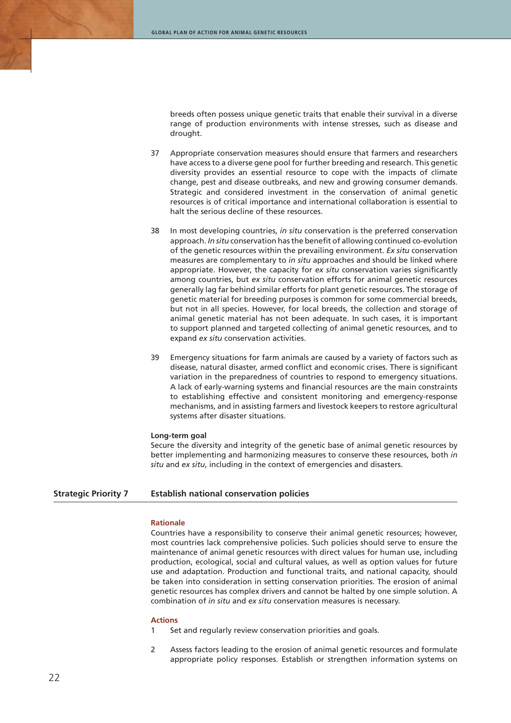breeds often possess unique genetic traits that enable their survival in a diverse range of production environments with intense stresses, such as disease and drought.

- 37 Appropriate conservation measures should ensure that farmers and researchers have access to a diverse gene pool for further breeding and research. This genetic diversity provides an essential resource to cope with the impacts of climate change, pest and disease outbreaks, and new and growing consumer demands. Strategic and considered investment in the conservation of animal genetic resources is of critical importance and international collaboration is essential to halt the serious decline of these resources.
- 38 In most developing countries, *in situ* conservation is the preferred conservation approach. *In situ* conservation has the benefit of allowing continued co-evolution of the genetic resources within the prevailing environment. *Ex situ* conservation measures are complementary to *in situ* approaches and should be linked where appropriate. However, the capacity for *ex situ* conservation varies significantly among countries, but *ex situ* conservation efforts for animal genetic resources generally lag far behind similar efforts for plant genetic resources. The storage of genetic material for breeding purposes is common for some commercial breeds, but not in all species. However, for local breeds, the collection and storage of animal genetic material has not been adequate. In such cases, it is important to support planned and targeted collecting of animal genetic resources, and to expand *ex situ* conservation activities.
- 39 Emergency situations for farm animals are caused by a variety of factors such as disease, natural disaster, armed conflict and economic crises. There is significant variation in the preparedness of countries to respond to emergency situations. A lack of early-warning systems and financial resources are the main constraints to establishing effective and consistent monitoring and emergency-response mechanisms, and in assisting farmers and livestock keepers to restore agricultural systems after disaster situations.

#### **Long-term goal**

Secure the diversity and integrity of the genetic base of animal genetic resources by better implementing and harmonizing measures to conserve these resources, both *in situ* and *ex situ*, including in the context of emergencies and disasters.

## **Strategic Priority 7 Establish national conservation policies**

#### **Rationale**

Countries have a responsibility to conserve their animal genetic resources; however, most countries lack comprehensive policies. Such policies should serve to ensure the maintenance of animal genetic resources with direct values for human use, including production, ecological, social and cultural values, as well as option values for future use and adaptation. Production and functional traits, and national capacity, should be taken into consideration in setting conservation priorities. The erosion of animal genetic resources has complex drivers and cannot be halted by one simple solution. A combination of *in situ* and *ex situ* conservation measures is necessary.

- 1 Set and regularly review conservation priorities and goals.
- 2 Assess factors leading to the erosion of animal genetic resources and formulate appropriate policy responses. Establish or strengthen information systems on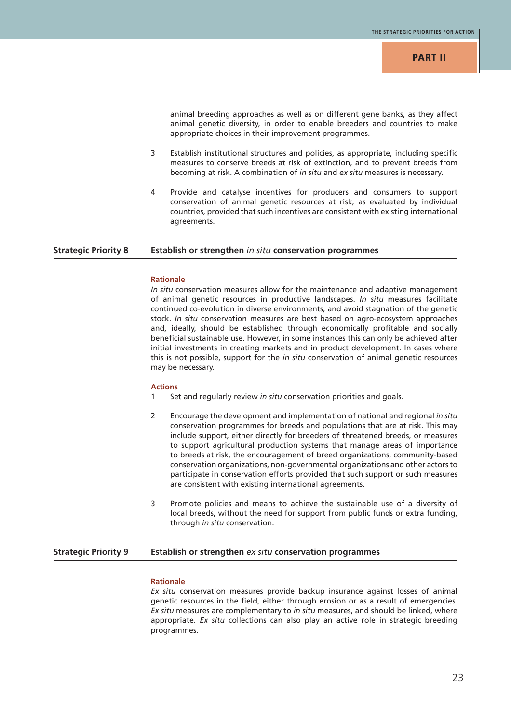animal breeding approaches as well as on different gene banks, as they affect animal genetic diversity, in order to enable breeders and countries to make appropriate choices in their improvement programmes.

- 3 Establish institutional structures and policies, as appropriate, including specific measures to conserve breeds at risk of extinction, and to prevent breeds from becoming at risk. A combination of *in situ* and *ex situ* measures is necessary.
- 4 Provide and catalyse incentives for producers and consumers to support conservation of animal genetic resources at risk, as evaluated by individual countries, provided that such incentives are consistent with existing international agreements.

#### **Strategic Priority 8 Establish or strengthen** *in situ* **conservation programmes**

## **Rationale**

*In situ* conservation measures allow for the maintenance and adaptive management of animal genetic resources in productive landscapes. *In situ* measures facilitate continued co-evolution in diverse environments, and avoid stagnation of the genetic stock. *In situ* conservation measures are best based on agro-ecosystem approaches and, ideally, should be established through economically profitable and socially beneficial sustainable use. However, in some instances this can only be achieved after initial investments in creating markets and in product development. In cases where this is not possible, support for the *in situ* conservation of animal genetic resources may be necessary.

#### **Actions**

- 1 Set and regularly review *in situ* conservation priorities and goals.
- 2 Encourage the development and implementation of national and regional *in situ* conservation programmes for breeds and populations that are at risk. This may include support, either directly for breeders of threatened breeds, or measures to support agricultural production systems that manage areas of importance to breeds at risk, the encouragement of breed organizations, community-based conservation organizations, non-governmental organizations and other actors to participate in conservation efforts provided that such support or such measures are consistent with existing international agreements.
- 3 Promote policies and means to achieve the sustainable use of a diversity of local breeds, without the need for support from public funds or extra funding, through *in situ* conservation.

## **Strategic Priority 9 Establish or strengthen** *ex situ* **conservation programmes**

#### **Rationale**

*Ex situ* conservation measures provide backup insurance against losses of animal genetic resources in the field, either through erosion or as a result of emergencies. *Ex situ* measures are complementary to *in situ* measures, and should be linked, where appropriate. *Ex situ* collections can also play an active role in strategic breeding programmes.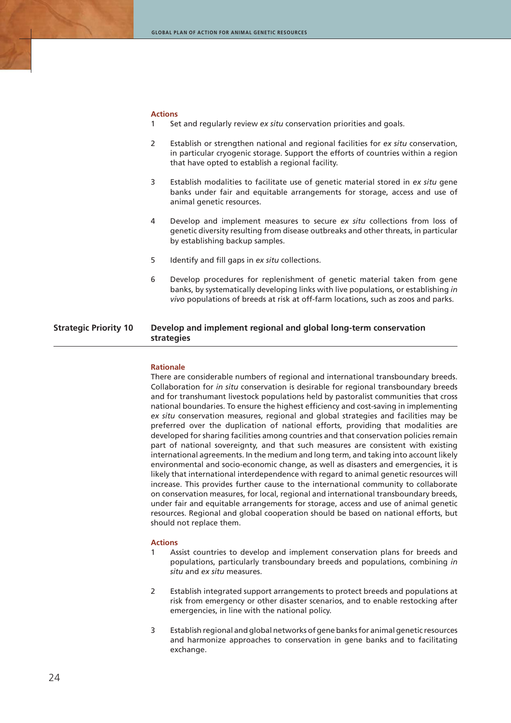#### **Actions**

- 1 Set and regularly review *ex situ* conservation priorities and goals.
- 2 Establish or strengthen national and regional facilities for *ex situ* conservation, in particular cryogenic storage. Support the efforts of countries within a region that have opted to establish a regional facility.
- 3 Establish modalities to facilitate use of genetic material stored in *ex situ* gene banks under fair and equitable arrangements for storage, access and use of animal genetic resources.
- 4 Develop and implement measures to secure *ex situ* collections from loss of genetic diversity resulting from disease outbreaks and other threats, in particular by establishing backup samples.
- 5 Identify and fill gaps in *ex situ* collections.
- 6 Develop procedures for replenishment of genetic material taken from gene banks, by systematically developing links with live populations, or establishing *in vivo* populations of breeds at risk at off-farm locations, such as zoos and parks.

## **Strategic Priority 10 Develop and implement regional and global long-term conservation strategies**

#### **Rationale**

There are considerable numbers of regional and international transboundary breeds. Collaboration for *in situ* conservation is desirable for regional transboundary breeds and for transhumant livestock populations held by pastoralist communities that cross national boundaries. To ensure the highest efficiency and cost-saving in implementing *ex situ* conservation measures, regional and global strategies and facilities may be preferred over the duplication of national efforts, providing that modalities are developed for sharing facilities among countries and that conservation policies remain part of national sovereignty, and that such measures are consistent with existing international agreements. In the medium and long term, and taking into account likely environmental and socio-economic change, as well as disasters and emergencies, it is likely that international interdependence with regard to animal genetic resources will increase. This provides further cause to the international community to collaborate on conservation measures, for local, regional and international transboundary breeds, under fair and equitable arrangements for storage, access and use of animal genetic resources. Regional and global cooperation should be based on national efforts, but should not replace them.

- 1 Assist countries to develop and implement conservation plans for breeds and populations, particularly transboundary breeds and populations, combining *in situ* and *ex situ* measures.
- 2 Establish integrated support arrangements to protect breeds and populations at risk from emergency or other disaster scenarios, and to enable restocking after emergencies, in line with the national policy.
- 3 Establish regional and global networks of gene banks for animal genetic resources and harmonize approaches to conservation in gene banks and to facilitating exchange.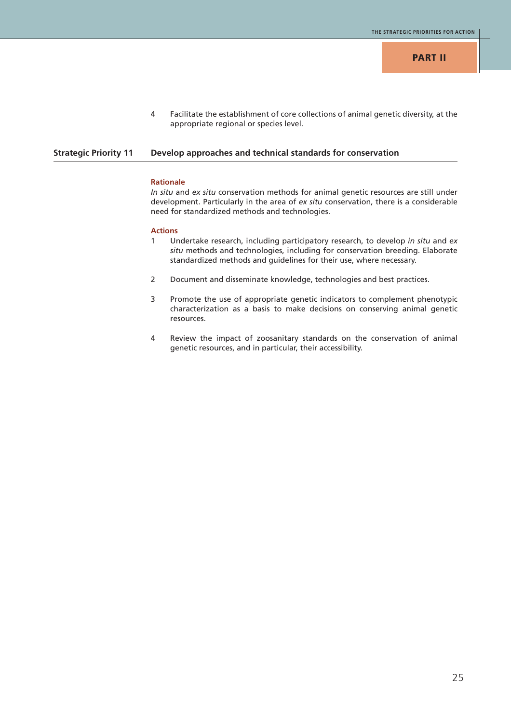4 Facilitate the establishment of core collections of animal genetic diversity, at the appropriate regional or species level.

### **Strategic Priority 11 Develop approaches and technical standards for conservation**

#### **Rationale**

*In situ* and *ex situ* conservation methods for animal genetic resources are still under development. Particularly in the area of *ex situ* conservation, there is a considerable need for standardized methods and technologies.

- 1 Undertake research, including participatory research, to develop *in situ* and *ex situ* methods and technologies, including for conservation breeding. Elaborate standardized methods and guidelines for their use, where necessary.
- 2 Document and disseminate knowledge, technologies and best practices.
- 3 Promote the use of appropriate genetic indicators to complement phenotypic characterization as a basis to make decisions on conserving animal genetic resources.
- 4 Review the impact of zoosanitary standards on the conservation of animal genetic resources, and in particular, their accessibility.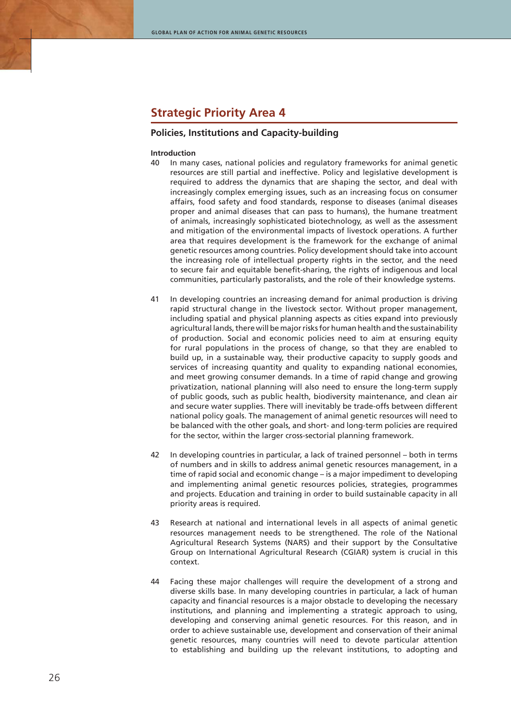## **Strategic Priority Area 4**

## **Policies, Institutions and Capacity-building**

#### **Introduction**

- 40 In many cases, national policies and regulatory frameworks for animal genetic resources are still partial and ineffective. Policy and legislative development is required to address the dynamics that are shaping the sector, and deal with increasingly complex emerging issues, such as an increasing focus on consumer affairs, food safety and food standards, response to diseases (animal diseases proper and animal diseases that can pass to humans), the humane treatment of animals, increasingly sophisticated biotechnology, as well as the assessment and mitigation of the environmental impacts of livestock operations. A further area that requires development is the framework for the exchange of animal genetic resources among countries. Policy development should take into account the increasing role of intellectual property rights in the sector, and the need to secure fair and equitable benefit-sharing, the rights of indigenous and local communities, particularly pastoralists, and the role of their knowledge systems.
- 41 In developing countries an increasing demand for animal production is driving rapid structural change in the livestock sector. Without proper management, including spatial and physical planning aspects as cities expand into previously agricultural lands, there will be major risks for human health and the sustainability of production. Social and economic policies need to aim at ensuring equity for rural populations in the process of change, so that they are enabled to build up, in a sustainable way, their productive capacity to supply goods and services of increasing quantity and quality to expanding national economies, and meet growing consumer demands. In a time of rapid change and growing privatization, national planning will also need to ensure the long-term supply of public goods, such as public health, biodiversity maintenance, and clean air and secure water supplies. There will inevitably be trade-offs between different national policy goals. The management of animal genetic resources will need to be balanced with the other goals, and short- and long-term policies are required for the sector, within the larger cross-sectorial planning framework.
- 42 In developing countries in particular, a lack of trained personnel both in terms of numbers and in skills to address animal genetic resources management, in a time of rapid social and economic change – is a major impediment to developing and implementing animal genetic resources policies, strategies, programmes and projects. Education and training in order to build sustainable capacity in all priority areas is required.
- 43 Research at national and international levels in all aspects of animal genetic resources management needs to be strengthened. The role of the National Agricultural Research Systems (NARS) and their support by the Consultative Group on International Agricultural Research (CGIAR) system is crucial in this context.
- 44 Facing these major challenges will require the development of a strong and diverse skills base. In many developing countries in particular, a lack of human capacity and financial resources is a major obstacle to developing the necessary institutions, and planning and implementing a strategic approach to using, developing and conserving animal genetic resources. For this reason, and in order to achieve sustainable use, development and conservation of their animal genetic resources, many countries will need to devote particular attention to establishing and building up the relevant institutions, to adopting and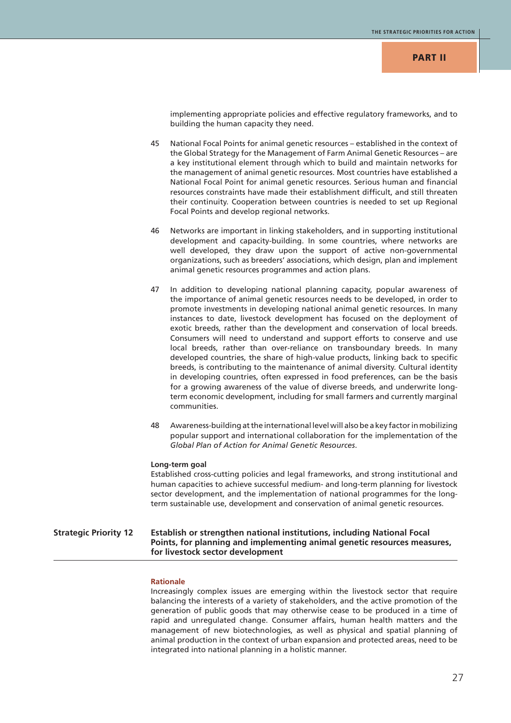## **PART II**

implementing appropriate policies and effective regulatory frameworks, and to building the human capacity they need.

- 45 National Focal Points for animal genetic resources established in the context of the Global Strategy for the Management of Farm Animal Genetic Resources – are a key institutional element through which to build and maintain networks for the management of animal genetic resources. Most countries have established a National Focal Point for animal genetic resources. Serious human and financial resources constraints have made their establishment difficult, and still threaten their continuity. Cooperation between countries is needed to set up Regional Focal Points and develop regional networks.
- 46 Networks are important in linking stakeholders, and in supporting institutional development and capacity-building. In some countries, where networks are well developed, they draw upon the support of active non-governmental organizations, such as breeders' associations, which design, plan and implement animal genetic resources programmes and action plans.
- 47 In addition to developing national planning capacity, popular awareness of the importance of animal genetic resources needs to be developed, in order to promote investments in developing national animal genetic resources. In many instances to date, livestock development has focused on the deployment of exotic breeds, rather than the development and conservation of local breeds. Consumers will need to understand and support efforts to conserve and use local breeds, rather than over-reliance on transboundary breeds. In many developed countries, the share of high-value products, linking back to specific breeds, is contributing to the maintenance of animal diversity. Cultural identity in developing countries, often expressed in food preferences, can be the basis for a growing awareness of the value of diverse breeds, and underwrite longterm economic development, including for small farmers and currently marginal communities.
- 48 Awareness-building at the international level will also be a key factor in mobilizing popular support and international collaboration for the implementation of the *Global Plan of Action for Animal Genetic Resources*.

#### **Long-term goal**

Established cross-cutting policies and legal frameworks, and strong institutional and human capacities to achieve successful medium- and long-term planning for livestock sector development, and the implementation of national programmes for the longterm sustainable use, development and conservation of animal genetic resources.

## **Strategic Priority 12 Establish or strengthen national institutions, including National Focal Points, for planning and implementing animal genetic resources measures, for livestock sector development**

#### **Rationale**

Increasingly complex issues are emerging within the livestock sector that require balancing the interests of a variety of stakeholders, and the active promotion of the generation of public goods that may otherwise cease to be produced in a time of rapid and unregulated change. Consumer affairs, human health matters and the management of new biotechnologies, as well as physical and spatial planning of animal production in the context of urban expansion and protected areas, need to be integrated into national planning in a holistic manner.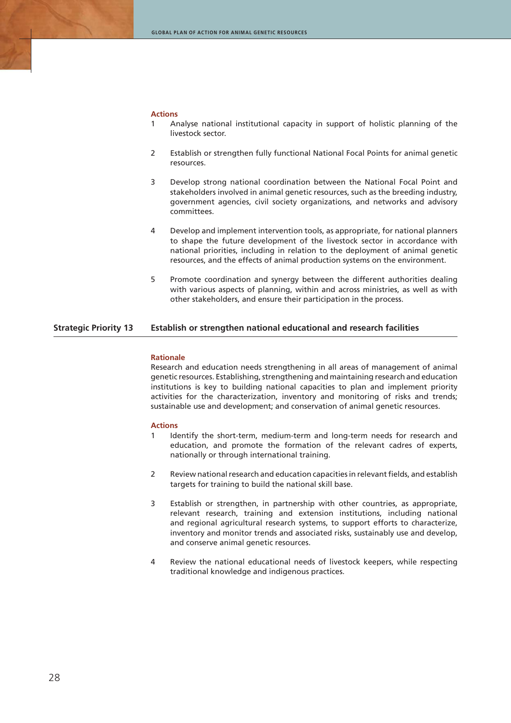#### **Actions**

- 1 Analyse national institutional capacity in support of holistic planning of the livestock sector.
- 2 Establish or strengthen fully functional National Focal Points for animal genetic resources.
- 3 Develop strong national coordination between the National Focal Point and stakeholders involved in animal genetic resources, such as the breeding industry, government agencies, civil society organizations, and networks and advisory committees.
- 4 Develop and implement intervention tools, as appropriate, for national planners to shape the future development of the livestock sector in accordance with national priorities, including in relation to the deployment of animal genetic resources, and the effects of animal production systems on the environment.
- 5 Promote coordination and synergy between the different authorities dealing with various aspects of planning, within and across ministries, as well as with other stakeholders, and ensure their participation in the process.

## **Strategic Priority 13 Establish or strengthen national educational and research facilities**

#### **Rationale**

Research and education needs strengthening in all areas of management of animal genetic resources. Establishing, strengthening and maintaining research and education institutions is key to building national capacities to plan and implement priority activities for the characterization, inventory and monitoring of risks and trends; sustainable use and development; and conservation of animal genetic resources.

- 1 Identify the short-term, medium-term and long-term needs for research and education, and promote the formation of the relevant cadres of experts, nationally or through international training.
- 2 Review national research and education capacities in relevant fields, and establish targets for training to build the national skill base.
- 3 Establish or strengthen, in partnership with other countries, as appropriate, relevant research, training and extension institutions, including national and regional agricultural research systems, to support efforts to characterize, inventory and monitor trends and associated risks, sustainably use and develop, and conserve animal genetic resources.
- 4 Review the national educational needs of livestock keepers, while respecting traditional knowledge and indigenous practices.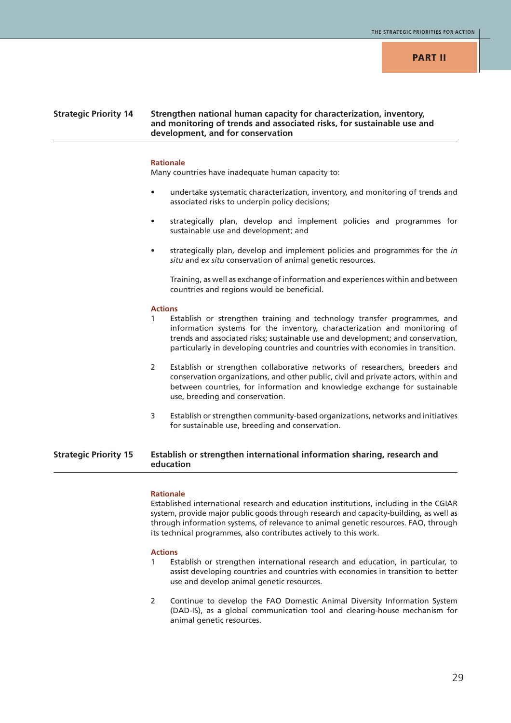## **Strategic Priority 14 Strengthen national human capacity for characterization, inventory, and monitoring of trends and associated risks, for sustainable use and development, and for conservation**

#### **Rationale**

Many countries have inadequate human capacity to:

- undertake systematic characterization, inventory, and monitoring of trends and associated risks to underpin policy decisions;
- strategically plan, develop and implement policies and programmes for sustainable use and development; and
- strategically plan, develop and implement policies and programmes for the *in situ* and *ex situ* conservation of animal genetic resources.

Training, as well as exchange of information and experiences within and between countries and regions would be beneficial.

#### **Actions**

- Establish or strengthen training and technology transfer programmes, and information systems for the inventory, characterization and monitoring of trends and associated risks; sustainable use and development; and conservation, particularly in developing countries and countries with economies in transition.
- 2 Establish or strengthen collaborative networks of researchers, breeders and conservation organizations, and other public, civil and private actors, within and between countries, for information and knowledge exchange for sustainable use, breeding and conservation.
- 3 Establish or strengthen community-based organizations, networks and initiatives for sustainable use, breeding and conservation.

## **Strategic Priority 15 Establish or strengthen international information sharing, research and education**

#### **Rationale**

Established international research and education institutions, including in the CGIAR system, provide major public goods through research and capacity-building, as well as through information systems, of relevance to animal genetic resources. FAO, through its technical programmes, also contributes actively to this work.

- 1 Establish or strengthen international research and education, in particular, to assist developing countries and countries with economies in transition to better use and develop animal genetic resources.
- 2 Continue to develop the FAO Domestic Animal Diversity Information System (DAD-IS), as a global communication tool and clearing-house mechanism for animal genetic resources.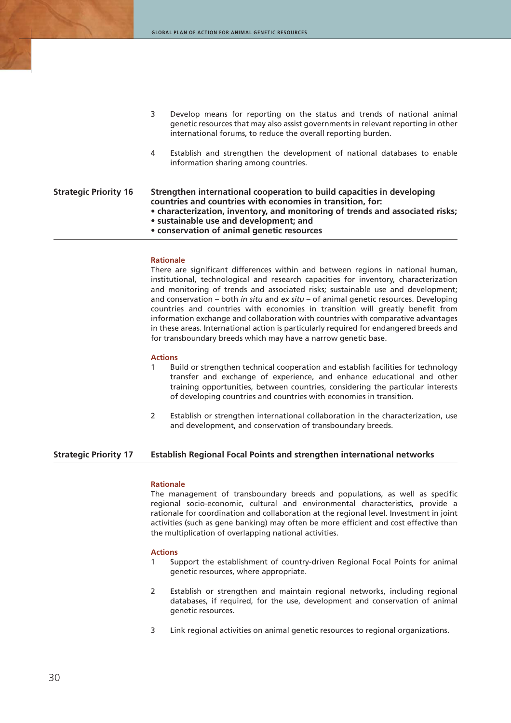|                              | 3 | Develop means for reporting on the status and trends of national animal<br>genetic resources that may also assist governments in relevant reporting in other<br>international forums, to reduce the overall reporting burden.                                                                                 |
|------------------------------|---|---------------------------------------------------------------------------------------------------------------------------------------------------------------------------------------------------------------------------------------------------------------------------------------------------------------|
|                              | 4 | Establish and strengthen the development of national databases to enable<br>information sharing among countries.                                                                                                                                                                                              |
| <b>Strategic Priority 16</b> |   | Strengthen international cooperation to build capacities in developing<br>countries and countries with economies in transition, for:<br>• characterization, inventory, and monitoring of trends and associated risks;<br>• sustainable use and development; and<br>• conservation of animal genetic resources |

#### **Rationale**

There are significant differences within and between regions in national human, institutional, technological and research capacities for inventory, characterization and monitoring of trends and associated risks; sustainable use and development; and conservation – both *in situ* and *ex situ* – of animal genetic resources. Developing countries and countries with economies in transition will greatly benefit from information exchange and collaboration with countries with comparative advantages in these areas. International action is particularly required for endangered breeds and for transboundary breeds which may have a narrow genetic base.

#### **Actions**

- 1 Build or strengthen technical cooperation and establish facilities for technology transfer and exchange of experience, and enhance educational and other training opportunities, between countries, considering the particular interests of developing countries and countries with economies in transition.
- 2 Establish or strengthen international collaboration in the characterization, use and development, and conservation of transboundary breeds.

## **Strategic Priority 17 Establish Regional Focal Points and strengthen international networks**

#### **Rationale**

The management of transboundary breeds and populations, as well as specific regional socio-economic, cultural and environmental characteristics, provide a rationale for coordination and collaboration at the regional level. Investment in joint activities (such as gene banking) may often be more efficient and cost effective than the multiplication of overlapping national activities.

- 1 Support the establishment of country-driven Regional Focal Points for animal genetic resources, where appropriate.
- 2 Establish or strengthen and maintain regional networks, including regional databases, if required, for the use, development and conservation of animal genetic resources.
- 3 Link regional activities on animal genetic resources to regional organizations.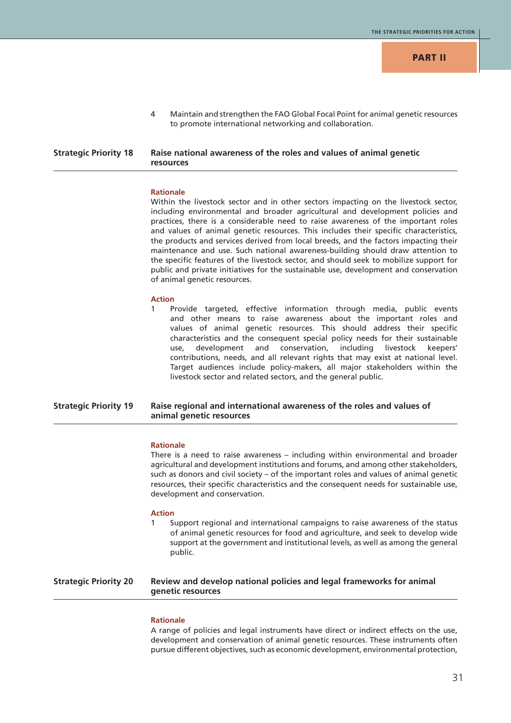4 Maintain and strengthen the FAO Global Focal Point for animal genetic resources to promote international networking and collaboration.

## **Strategic Priority 18 Raise national awareness of the roles and values of animal genetic resources**

#### **Rationale**

Within the livestock sector and in other sectors impacting on the livestock sector, including environmental and broader agricultural and development policies and practices, there is a considerable need to raise awareness of the important roles and values of animal genetic resources. This includes their specific characteristics, the products and services derived from local breeds, and the factors impacting their maintenance and use. Such national awareness-building should draw attention to the specific features of the livestock sector, and should seek to mobilize support for public and private initiatives for the sustainable use, development and conservation of animal genetic resources.

#### **Action**

Provide targeted, effective information through media, public events and other means to raise awareness about the important roles and values of animal genetic resources. This should address their specific characteristics and the consequent special policy needs for their sustainable use, development and conservation, including livestock keepers' contributions, needs, and all relevant rights that may exist at national level. Target audiences include policy-makers, all major stakeholders within the livestock sector and related sectors, and the general public.

## **Strategic Priority 19 Raise regional and international awareness of the roles and values of animal genetic resources**

#### **Rationale**

There is a need to raise awareness – including within environmental and broader agricultural and development institutions and forums, and among other stakeholders, such as donors and civil society – of the important roles and values of animal genetic resources, their specific characteristics and the consequent needs for sustainable use, development and conservation.

#### **Action**

Support regional and international campaigns to raise awareness of the status of animal genetic resources for food and agriculture, and seek to develop wide support at the government and institutional levels, as well as among the general public.

## **Strategic Priority 20 Review and develop national policies and legal frameworks for animal genetic resources**

#### **Rationale**

A range of policies and legal instruments have direct or indirect effects on the use, development and conservation of animal genetic resources. These instruments often pursue different objectives, such as economic development, environmental protection,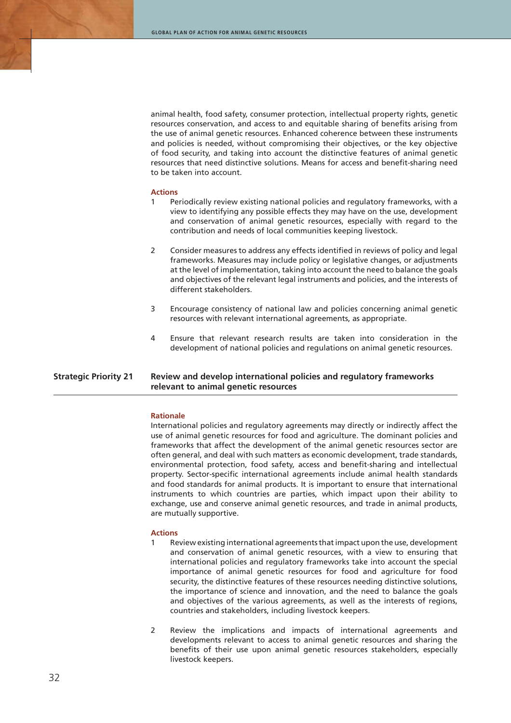animal health, food safety, consumer protection, intellectual property rights, genetic resources conservation, and access to and equitable sharing of benefits arising from the use of animal genetic resources. Enhanced coherence between these instruments and policies is needed, without compromising their objectives, or the key objective of food security, and taking into account the distinctive features of animal genetic resources that need distinctive solutions. Means for access and benefit-sharing need to be taken into account.

#### **Actions**

- 1 Periodically review existing national policies and regulatory frameworks, with a view to identifying any possible effects they may have on the use, development and conservation of animal genetic resources, especially with regard to the contribution and needs of local communities keeping livestock.
- 2 Consider measures to address any effects identified in reviews of policy and legal frameworks. Measures may include policy or legislative changes, or adjustments at the level of implementation, taking into account the need to balance the goals and objectives of the relevant legal instruments and policies, and the interests of different stakeholders.
- 3 Encourage consistency of national law and policies concerning animal genetic resources with relevant international agreements, as appropriate.
- 4 Ensure that relevant research results are taken into consideration in the development of national policies and regulations on animal genetic resources.

## **Strategic Priority 21 Review and develop international policies and regulatory frameworks relevant to animal genetic resources**

#### **Rationale**

International policies and regulatory agreements may directly or indirectly affect the use of animal genetic resources for food and agriculture. The dominant policies and frameworks that affect the development of the animal genetic resources sector are often general, and deal with such matters as economic development, trade standards, environmental protection, food safety, access and benefit-sharing and intellectual property. Sector-specific international agreements include animal health standards and food standards for animal products. It is important to ensure that international instruments to which countries are parties, which impact upon their ability to exchange, use and conserve animal genetic resources, and trade in animal products, are mutually supportive.

- Review existing international agreements that impact upon the use, development and conservation of animal genetic resources, with a view to ensuring that international policies and regulatory frameworks take into account the special importance of animal genetic resources for food and agriculture for food security, the distinctive features of these resources needing distinctive solutions, the importance of science and innovation, and the need to balance the goals and objectives of the various agreements, as well as the interests of regions, countries and stakeholders, including livestock keepers.
- 2 Review the implications and impacts of international agreements and developments relevant to access to animal genetic resources and sharing the benefits of their use upon animal genetic resources stakeholders, especially livestock keepers.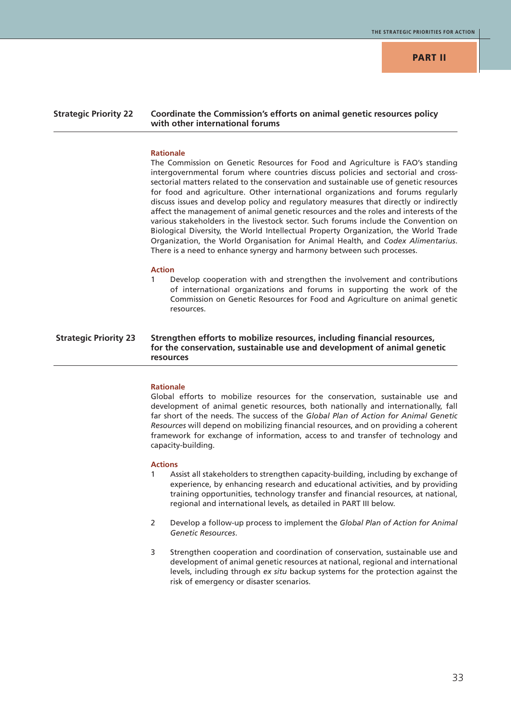## **PART II**

## **Strategic Priority 22 Coordinate the Commission's efforts on animal genetic resources policy with other international forums**

#### **Rationale**

The Commission on Genetic Resources for Food and Agriculture is FAO's standing intergovernmental forum where countries discuss policies and sectorial and crosssectorial matters related to the conservation and sustainable use of genetic resources for food and agriculture. Other international organizations and forums regularly discuss issues and develop policy and regulatory measures that directly or indirectly affect the management of animal genetic resources and the roles and interests of the various stakeholders in the livestock sector. Such forums include the Convention on Biological Diversity, the World Intellectual Property Organization, the World Trade Organization, the World Organisation for Animal Health, and *Codex Alimentarius*. There is a need to enhance synergy and harmony between such processes.

#### **Action**

Develop cooperation with and strengthen the involvement and contributions of international organizations and forums in supporting the work of the Commission on Genetic Resources for Food and Agriculture on animal genetic resources.

## **Strategic Priority 23 Strengthen efforts to mobilize resources, including financial resources, for the conservation, sustainable use and development of animal genetic resources**

#### **Rationale**

Global efforts to mobilize resources for the conservation, sustainable use and development of animal genetic resources, both nationally and internationally, fall far short of the needs. The success of the *Global Plan of Action for Animal Genetic Resources* will depend on mobilizing financial resources, and on providing a coherent framework for exchange of information, access to and transfer of technology and capacity-building.

- 1 Assist all stakeholders to strengthen capacity-building, including by exchange of experience, by enhancing research and educational activities, and by providing training opportunities, technology transfer and financial resources, at national, regional and international levels, as detailed in PART III below.
- 2 Develop a follow-up process to implement the *Global Plan of Action for Animal Genetic Resources*.
- 3 Strengthen cooperation and coordination of conservation, sustainable use and development of animal genetic resources at national, regional and international levels, including through *ex situ* backup systems for the protection against the risk of emergency or disaster scenarios.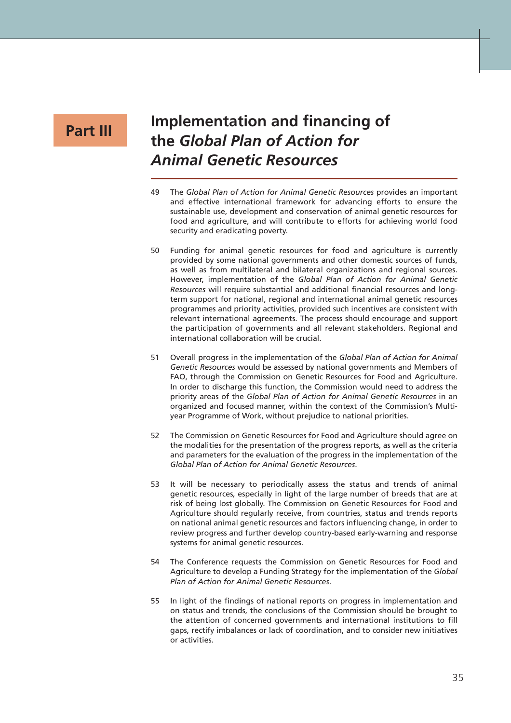## **Part III**

# **Implementation and financing of the** *Global Plan of Action for Animal Genetic Resources*

- 49 The *Global Plan of Action for Animal Genetic Resources* provides an important and effective international framework for advancing efforts to ensure the sustainable use, development and conservation of animal genetic resources for food and agriculture, and will contribute to efforts for achieving world food security and eradicating poverty.
- 50 Funding for animal genetic resources for food and agriculture is currently provided by some national governments and other domestic sources of funds, as well as from multilateral and bilateral organizations and regional sources. However, implementation of the *Global Plan of Action for Animal Genetic Resources* will require substantial and additional financial resources and longterm support for national, regional and international animal genetic resources programmes and priority activities, provided such incentives are consistent with relevant international agreements. The process should encourage and support the participation of governments and all relevant stakeholders. Regional and international collaboration will be crucial.
- 51 Overall progress in the implementation of the *Global Plan of Action for Animal Genetic Resources* would be assessed by national governments and Members of FAO, through the Commission on Genetic Resources for Food and Agriculture. In order to discharge this function, the Commission would need to address the priority areas of the *Global Plan of Action for Animal Genetic Resources* in an organized and focused manner, within the context of the Commission's Multiyear Programme of Work, without prejudice to national priorities.
- 52 The Commission on Genetic Resources for Food and Agriculture should agree on the modalities for the presentation of the progress reports, as well as the criteria and parameters for the evaluation of the progress in the implementation of the *Global Plan of Action for Animal Genetic Resources*.
- 53 It will be necessary to periodically assess the status and trends of animal genetic resources, especially in light of the large number of breeds that are at risk of being lost globally. The Commission on Genetic Resources for Food and Agriculture should regularly receive, from countries, status and trends reports on national animal genetic resources and factors influencing change, in order to review progress and further develop country-based early-warning and response systems for animal genetic resources.
- 54 The Conference requests the Commission on Genetic Resources for Food and Agriculture to develop a Funding Strategy for the implementation of the *Global Plan of Action for Animal Genetic Resources*.
- 55 In light of the findings of national reports on progress in implementation and on status and trends, the conclusions of the Commission should be brought to the attention of concerned governments and international institutions to fill gaps, rectify imbalances or lack of coordination, and to consider new initiatives or activities.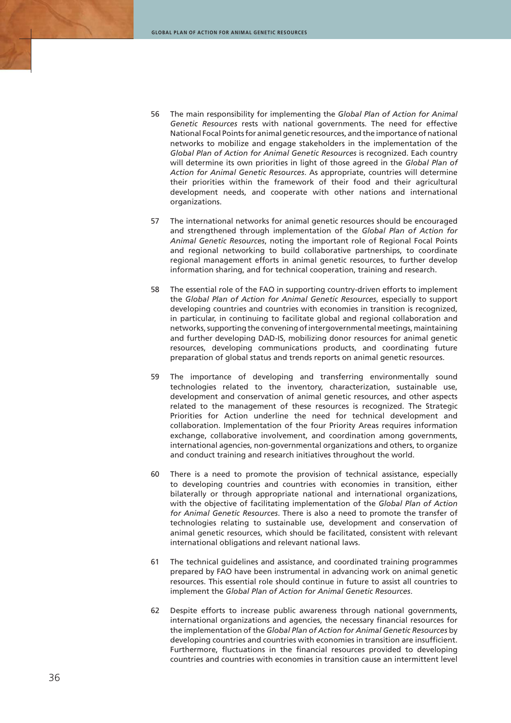- 56 The main responsibility for implementing the *Global Plan of Action for Animal Genetic Resources* rests with national governments. The need for effective National Focal Points for animal genetic resources, and the importance of national networks to mobilize and engage stakeholders in the implementation of the *Global Plan of Action for Animal Genetic Resources* is recognized. Each country will determine its own priorities in light of those agreed in the *Global Plan of Action for Animal Genetic Resources*. As appropriate, countries will determine their priorities within the framework of their food and their agricultural development needs, and cooperate with other nations and international organizations.
- 57 The international networks for animal genetic resources should be encouraged and strengthened through implementation of the *Global Plan of Action for Animal Genetic Resources*, noting the important role of Regional Focal Points and regional networking to build collaborative partnerships, to coordinate regional management efforts in animal genetic resources, to further develop information sharing, and for technical cooperation, training and research.
- 58 The essential role of the FAO in supporting country-driven efforts to implement the *Global Plan of Action for Animal Genetic Resources*, especially to support developing countries and countries with economies in transition is recognized, in particular, in continuing to facilitate global and regional collaboration and networks, supporting the convening of intergovernmental meetings, maintaining and further developing DAD-IS, mobilizing donor resources for animal genetic resources, developing communications products, and coordinating future preparation of global status and trends reports on animal genetic resources.
- 59 The importance of developing and transferring environmentally sound technologies related to the inventory, characterization, sustainable use, development and conservation of animal genetic resources, and other aspects related to the management of these resources is recognized. The Strategic Priorities for Action underline the need for technical development and collaboration. Implementation of the four Priority Areas requires information exchange, collaborative involvement, and coordination among governments, international agencies, non-governmental organizations and others, to organize and conduct training and research initiatives throughout the world.
- 60 There is a need to promote the provision of technical assistance, especially to developing countries and countries with economies in transition, either bilaterally or through appropriate national and international organizations, with the objective of facilitating implementation of the *Global Plan of Action for Animal Genetic Resources*. There is also a need to promote the transfer of technologies relating to sustainable use, development and conservation of animal genetic resources, which should be facilitated, consistent with relevant international obligations and relevant national laws.
- 61 The technical guidelines and assistance, and coordinated training programmes prepared by FAO have been instrumental in advancing work on animal genetic resources. This essential role should continue in future to assist all countries to implement the *Global Plan of Action for Animal Genetic Resources*.
- 62 Despite efforts to increase public awareness through national governments, international organizations and agencies, the necessary financial resources for the implementation of the *Global Plan of Action for Animal Genetic Resources* by developing countries and countries with economies in transition are insufficient. Furthermore, fluctuations in the financial resources provided to developing countries and countries with economies in transition cause an intermittent level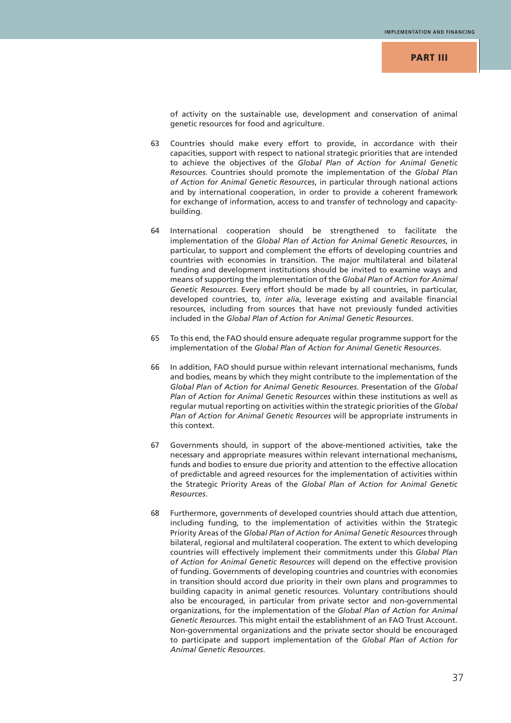of activity on the sustainable use, development and conservation of animal genetic resources for food and agriculture.

- 63 Countries should make every effort to provide, in accordance with their capacities, support with respect to national strategic priorities that are intended to achieve the objectives of the *Global Plan of Action for Animal Genetic Resources*. Countries should promote the implementation of the *Global Plan of Action for Animal Genetic Resources*, in particular through national actions and by international cooperation, in order to provide a coherent framework for exchange of information, access to and transfer of technology and capacitybuilding.
- 64 International cooperation should be strengthened to facilitate the implementation of the *Global Plan of Action for Animal Genetic Resources*, in particular, to support and complement the efforts of developing countries and countries with economies in transition. The major multilateral and bilateral funding and development institutions should be invited to examine ways and means of supporting the implementation of the *Global Plan of Action for Animal Genetic Resources*. Every effort should be made by all countries, in particular, developed countries, to, *inter alia*, leverage existing and available financial resources, including from sources that have not previously funded activities included in the *Global Plan of Action for Animal Genetic Resources*.
- 65 To this end, the FAO should ensure adequate regular programme support for the implementation of the *Global Plan of Action for Animal Genetic Resources*.
- 66 In addition, FAO should pursue within relevant international mechanisms, funds and bodies, means by which they might contribute to the implementation of the *Global Plan of Action for Animal Genetic Resources*. Presentation of the *Global Plan of Action for Animal Genetic Resources* within these institutions as well as regular mutual reporting on activities within the strategic priorities of the *Global Plan of Action for Animal Genetic Resources* will be appropriate instruments in this context.
- 67 Governments should, in support of the above-mentioned activities, take the necessary and appropriate measures within relevant international mechanisms, funds and bodies to ensure due priority and attention to the effective allocation of predictable and agreed resources for the implementation of activities within the Strategic Priority Areas of the *Global Plan of Action for Animal Genetic Resources*.
- 68 Furthermore, governments of developed countries should attach due attention, including funding, to the implementation of activities within the Strategic Priority Areas of the *Global Plan of Action for Animal Genetic Resources* through bilateral, regional and multilateral cooperation. The extent to which developing countries will effectively implement their commitments under this *Global Plan of Action for Animal Genetic Resources* will depend on the effective provision of funding. Governments of developing countries and countries with economies in transition should accord due priority in their own plans and programmes to building capacity in animal genetic resources. Voluntary contributions should also be encouraged, in particular from private sector and non-governmental organizations, for the implementation of the *Global Plan of Action for Animal Genetic Resources*. This might entail the establishment of an FAO Trust Account. Non-governmental organizations and the private sector should be encouraged to participate and support implementation of the *Global Plan of Action for Animal Genetic Resources*.